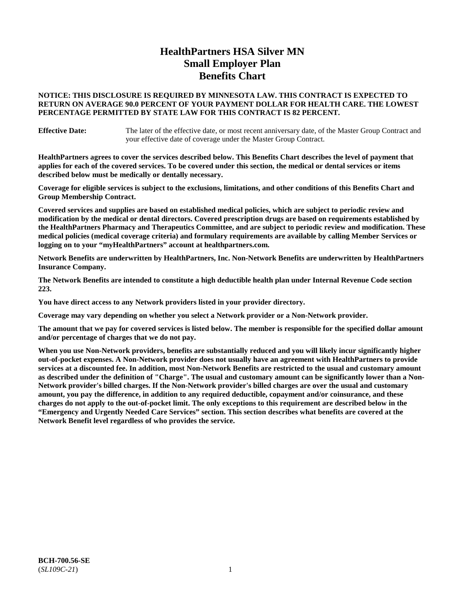# **HealthPartners HSA Silver MN Small Employer Plan Benefits Chart**

## **NOTICE: THIS DISCLOSURE IS REQUIRED BY MINNESOTA LAW. THIS CONTRACT IS EXPECTED TO RETURN ON AVERAGE 90.0 PERCENT OF YOUR PAYMENT DOLLAR FOR HEALTH CARE. THE LOWEST PERCENTAGE PERMITTED BY STATE LAW FOR THIS CONTRACT IS 82 PERCENT.**

**Effective Date:** The later of the effective date, or most recent anniversary date, of the Master Group Contract and your effective date of coverage under the Master Group Contract.

**HealthPartners agrees to cover the services described below. This Benefits Chart describes the level of payment that applies for each of the covered services. To be covered under this section, the medical or dental services or items described below must be medically or dentally necessary.**

**Coverage for eligible services is subject to the exclusions, limitations, and other conditions of this Benefits Chart and Group Membership Contract.**

**Covered services and supplies are based on established medical policies, which are subject to periodic review and modification by the medical or dental directors. Covered prescription drugs are based on requirements established by the HealthPartners Pharmacy and Therapeutics Committee, and are subject to periodic review and modification. These medical policies (medical coverage criteria) and formulary requirements are available by calling Member Services or logging on to your "myHealthPartners" account at [healthpartners.com.](https://www.healthpartners.com/hp/index.html)**

**Network Benefits are underwritten by HealthPartners, Inc. Non-Network Benefits are underwritten by HealthPartners Insurance Company.** 

**The Network Benefits are intended to constitute a high deductible health plan under Internal Revenue Code section 223.** 

**You have direct access to any Network providers listed in your provider directory.**

**Coverage may vary depending on whether you select a Network provider or a Non-Network provider.**

**The amount that we pay for covered services is listed below. The member is responsible for the specified dollar amount and/or percentage of charges that we do not pay.**

**When you use Non-Network providers, benefits are substantially reduced and you will likely incur significantly higher out-of-pocket expenses. A Non-Network provider does not usually have an agreement with HealthPartners to provide services at a discounted fee. In addition, most Non-Network Benefits are restricted to the usual and customary amount as described under the definition of "Charge". The usual and customary amount can be significantly lower than a Non-Network provider's billed charges. If the Non-Network provider's billed charges are over the usual and customary amount, you pay the difference, in addition to any required deductible, copayment and/or coinsurance, and these charges do not apply to the out-of-pocket limit. The only exceptions to this requirement are described below in the "Emergency and Urgently Needed Care Services" section. This section describes what benefits are covered at the Network Benefit level regardless of who provides the service.**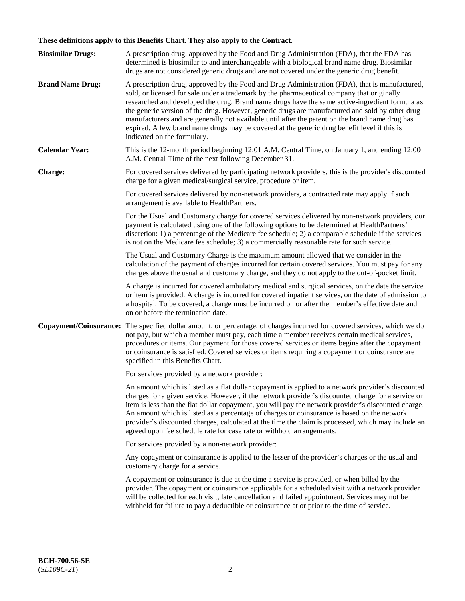# **These definitions apply to this Benefits Chart. They also apply to the Contract.**

| <b>Biosimilar Drugs:</b> | A prescription drug, approved by the Food and Drug Administration (FDA), that the FDA has<br>determined is biosimilar to and interchangeable with a biological brand name drug. Biosimilar<br>drugs are not considered generic drugs and are not covered under the generic drug benefit.                                                                                                                                                                                                                                                                                                                                           |
|--------------------------|------------------------------------------------------------------------------------------------------------------------------------------------------------------------------------------------------------------------------------------------------------------------------------------------------------------------------------------------------------------------------------------------------------------------------------------------------------------------------------------------------------------------------------------------------------------------------------------------------------------------------------|
| <b>Brand Name Drug:</b>  | A prescription drug, approved by the Food and Drug Administration (FDA), that is manufactured,<br>sold, or licensed for sale under a trademark by the pharmaceutical company that originally<br>researched and developed the drug. Brand name drugs have the same active-ingredient formula as<br>the generic version of the drug. However, generic drugs are manufactured and sold by other drug<br>manufacturers and are generally not available until after the patent on the brand name drug has<br>expired. A few brand name drugs may be covered at the generic drug benefit level if this is<br>indicated on the formulary. |
| <b>Calendar Year:</b>    | This is the 12-month period beginning 12:01 A.M. Central Time, on January 1, and ending 12:00<br>A.M. Central Time of the next following December 31.                                                                                                                                                                                                                                                                                                                                                                                                                                                                              |
| <b>Charge:</b>           | For covered services delivered by participating network providers, this is the provider's discounted<br>charge for a given medical/surgical service, procedure or item.                                                                                                                                                                                                                                                                                                                                                                                                                                                            |
|                          | For covered services delivered by non-network providers, a contracted rate may apply if such<br>arrangement is available to HealthPartners.                                                                                                                                                                                                                                                                                                                                                                                                                                                                                        |
|                          | For the Usual and Customary charge for covered services delivered by non-network providers, our<br>payment is calculated using one of the following options to be determined at HealthPartners'<br>discretion: 1) a percentage of the Medicare fee schedule; 2) a comparable schedule if the services<br>is not on the Medicare fee schedule; 3) a commercially reasonable rate for such service.                                                                                                                                                                                                                                  |
|                          | The Usual and Customary Charge is the maximum amount allowed that we consider in the<br>calculation of the payment of charges incurred for certain covered services. You must pay for any<br>charges above the usual and customary charge, and they do not apply to the out-of-pocket limit.                                                                                                                                                                                                                                                                                                                                       |
|                          | A charge is incurred for covered ambulatory medical and surgical services, on the date the service<br>or item is provided. A charge is incurred for covered inpatient services, on the date of admission to<br>a hospital. To be covered, a charge must be incurred on or after the member's effective date and<br>on or before the termination date.                                                                                                                                                                                                                                                                              |
| Copayment/Coinsurance:   | The specified dollar amount, or percentage, of charges incurred for covered services, which we do<br>not pay, but which a member must pay, each time a member receives certain medical services,<br>procedures or items. Our payment for those covered services or items begins after the copayment<br>or coinsurance is satisfied. Covered services or items requiring a copayment or coinsurance are<br>specified in this Benefits Chart.                                                                                                                                                                                        |
|                          | For services provided by a network provider:                                                                                                                                                                                                                                                                                                                                                                                                                                                                                                                                                                                       |
|                          | An amount which is listed as a flat dollar copayment is applied to a network provider's discounted<br>charges for a given service. However, if the network provider's discounted charge for a service or<br>item is less than the flat dollar copayment, you will pay the network provider's discounted charge.<br>An amount which is listed as a percentage of charges or coinsurance is based on the network<br>provider's discounted charges, calculated at the time the claim is processed, which may include an<br>agreed upon fee schedule rate for case rate or withhold arrangements.                                      |
|                          | For services provided by a non-network provider:                                                                                                                                                                                                                                                                                                                                                                                                                                                                                                                                                                                   |
|                          | Any copayment or coinsurance is applied to the lesser of the provider's charges or the usual and<br>customary charge for a service.                                                                                                                                                                                                                                                                                                                                                                                                                                                                                                |
|                          | A copayment or coinsurance is due at the time a service is provided, or when billed by the<br>provider. The copayment or coinsurance applicable for a scheduled visit with a network provider<br>will be collected for each visit, late cancellation and failed appointment. Services may not be<br>withheld for failure to pay a deductible or coinsurance at or prior to the time of service.                                                                                                                                                                                                                                    |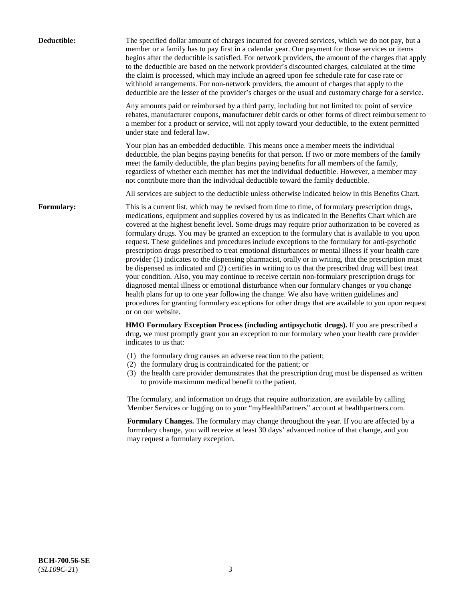| Deductible:       | The specified dollar amount of charges incurred for covered services, which we do not pay, but a<br>member or a family has to pay first in a calendar year. Our payment for those services or items<br>begins after the deductible is satisfied. For network providers, the amount of the charges that apply<br>to the deductible are based on the network provider's discounted charges, calculated at the time<br>the claim is processed, which may include an agreed upon fee schedule rate for case rate or<br>withhold arrangements. For non-network providers, the amount of charges that apply to the<br>deductible are the lesser of the provider's charges or the usual and customary charge for a service.                                                                                                                                                                                                                                                                                                                                                                                                                                                                                                                                             |
|-------------------|------------------------------------------------------------------------------------------------------------------------------------------------------------------------------------------------------------------------------------------------------------------------------------------------------------------------------------------------------------------------------------------------------------------------------------------------------------------------------------------------------------------------------------------------------------------------------------------------------------------------------------------------------------------------------------------------------------------------------------------------------------------------------------------------------------------------------------------------------------------------------------------------------------------------------------------------------------------------------------------------------------------------------------------------------------------------------------------------------------------------------------------------------------------------------------------------------------------------------------------------------------------|
|                   | Any amounts paid or reimbursed by a third party, including but not limited to: point of service<br>rebates, manufacturer coupons, manufacturer debit cards or other forms of direct reimbursement to<br>a member for a product or service, will not apply toward your deductible, to the extent permitted<br>under state and federal law.                                                                                                                                                                                                                                                                                                                                                                                                                                                                                                                                                                                                                                                                                                                                                                                                                                                                                                                        |
|                   | Your plan has an embedded deductible. This means once a member meets the individual<br>deductible, the plan begins paying benefits for that person. If two or more members of the family<br>meet the family deductible, the plan begins paying benefits for all members of the family,<br>regardless of whether each member has met the individual deductible. However, a member may<br>not contribute more than the individual deductible toward the family deductible.                                                                                                                                                                                                                                                                                                                                                                                                                                                                                                                                                                                                                                                                                                                                                                                         |
|                   | All services are subject to the deductible unless otherwise indicated below in this Benefits Chart.                                                                                                                                                                                                                                                                                                                                                                                                                                                                                                                                                                                                                                                                                                                                                                                                                                                                                                                                                                                                                                                                                                                                                              |
| <b>Formulary:</b> | This is a current list, which may be revised from time to time, of formulary prescription drugs,<br>medications, equipment and supplies covered by us as indicated in the Benefits Chart which are<br>covered at the highest benefit level. Some drugs may require prior authorization to be covered as<br>formulary drugs. You may be granted an exception to the formulary that is available to you upon<br>request. These guidelines and procedures include exceptions to the formulary for anti-psychotic<br>prescription drugs prescribed to treat emotional disturbances or mental illness if your health care<br>provider (1) indicates to the dispensing pharmacist, orally or in writing, that the prescription must<br>be dispensed as indicated and (2) certifies in writing to us that the prescribed drug will best treat<br>your condition. Also, you may continue to receive certain non-formulary prescription drugs for<br>diagnosed mental illness or emotional disturbance when our formulary changes or you change<br>health plans for up to one year following the change. We also have written guidelines and<br>procedures for granting formulary exceptions for other drugs that are available to you upon request<br>or on our website. |
|                   | HMO Formulary Exception Process (including antipsychotic drugs). If you are prescribed a<br>drug, we must promptly grant you an exception to our formulary when your health care provider<br>indicates to us that:                                                                                                                                                                                                                                                                                                                                                                                                                                                                                                                                                                                                                                                                                                                                                                                                                                                                                                                                                                                                                                               |
|                   | (1) the formulary drug causes an adverse reaction to the patient;<br>(2) the formulary drug is contraindicated for the patient; or<br>(3) the health care provider demonstrates that the prescription drug must be dispensed as written<br>to provide maximum medical benefit to the patient.                                                                                                                                                                                                                                                                                                                                                                                                                                                                                                                                                                                                                                                                                                                                                                                                                                                                                                                                                                    |
|                   | The formulary, and information on drugs that require authorization, are available by calling<br>Member Services or logging on to your "myHealthPartners" account at healthpartners.com.                                                                                                                                                                                                                                                                                                                                                                                                                                                                                                                                                                                                                                                                                                                                                                                                                                                                                                                                                                                                                                                                          |
|                   | Formulary Changes. The formulary may change throughout the year. If you are affected by a<br>formulary change, you will receive at least 30 days' advanced notice of that change, and you<br>may request a formulary exception.                                                                                                                                                                                                                                                                                                                                                                                                                                                                                                                                                                                                                                                                                                                                                                                                                                                                                                                                                                                                                                  |
|                   |                                                                                                                                                                                                                                                                                                                                                                                                                                                                                                                                                                                                                                                                                                                                                                                                                                                                                                                                                                                                                                                                                                                                                                                                                                                                  |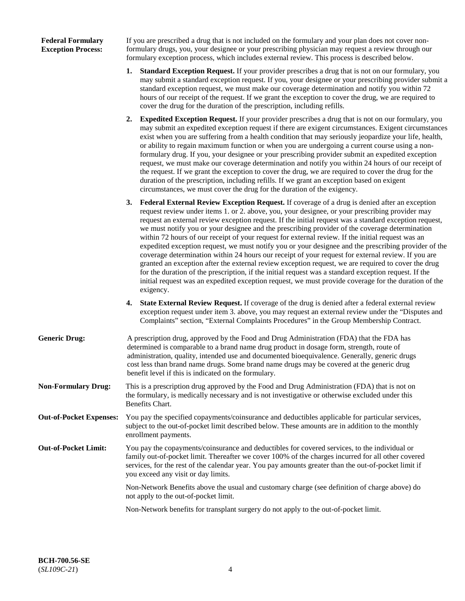## **Federal Formulary Exception Process:**

If you are prescribed a drug that is not included on the formulary and your plan does not cover nonformulary drugs, you, your designee or your prescribing physician may request a review through our formulary exception process, which includes external review. This process is described below.

- **1. Standard Exception Request.** If your provider prescribes a drug that is not on our formulary, you may submit a standard exception request. If you, your designee or your prescribing provider submit a standard exception request, we must make our coverage determination and notify you within 72 hours of our receipt of the request. If we grant the exception to cover the drug, we are required to cover the drug for the duration of the prescription, including refills.
- **2. Expedited Exception Request.** If your provider prescribes a drug that is not on our formulary, you may submit an expedited exception request if there are exigent circumstances. Exigent circumstances exist when you are suffering from a health condition that may seriously jeopardize your life, health, or ability to regain maximum function or when you are undergoing a current course using a nonformulary drug. If you, your designee or your prescribing provider submit an expedited exception request, we must make our coverage determination and notify you within 24 hours of our receipt of the request. If we grant the exception to cover the drug, we are required to cover the drug for the duration of the prescription, including refills. If we grant an exception based on exigent circumstances, we must cover the drug for the duration of the exigency.
- **3. Federal External Review Exception Request.** If coverage of a drug is denied after an exception request review under items 1. or 2. above, you, your designee, or your prescribing provider may request an external review exception request. If the initial request was a standard exception request, we must notify you or your designee and the prescribing provider of the coverage determination within 72 hours of our receipt of your request for external review. If the initial request was an expedited exception request, we must notify you or your designee and the prescribing provider of the coverage determination within 24 hours our receipt of your request for external review. If you are granted an exception after the external review exception request, we are required to cover the drug for the duration of the prescription, if the initial request was a standard exception request. If the initial request was an expedited exception request, we must provide coverage for the duration of the exigency.
- **4. State External Review Request.** If coverage of the drug is denied after a federal external review exception request under item 3. above, you may request an external review under the "Disputes and Complaints" section, "External Complaints Procedures" in the Group Membership Contract.
- **Generic Drug:** A prescription drug, approved by the Food and Drug Administration (FDA) that the FDA has determined is comparable to a brand name drug product in dosage form, strength, route of administration, quality, intended use and documented bioequivalence. Generally, generic drugs cost less than brand name drugs. Some brand name drugs may be covered at the generic drug benefit level if this is indicated on the formulary.
- **Non-Formulary Drug:** This is a prescription drug approved by the Food and Drug Administration (FDA) that is not on the formulary, is medically necessary and is not investigative or otherwise excluded under this Benefits Chart.
- **Out-of-Pocket Expenses:** You pay the specified copayments/coinsurance and deductibles applicable for particular services, subject to the out-of-pocket limit described below. These amounts are in addition to the monthly enrollment payments.
- **Out-of-Pocket Limit:** You pay the copayments/coinsurance and deductibles for covered services, to the individual or family out-of-pocket limit. Thereafter we cover 100% of the charges incurred for all other covered services, for the rest of the calendar year. You pay amounts greater than the out-of-pocket limit if you exceed any visit or day limits.

Non-Network Benefits above the usual and customary charge (see definition of charge above) do not apply to the out-of-pocket limit.

Non-Network benefits for transplant surgery do not apply to the out-of-pocket limit.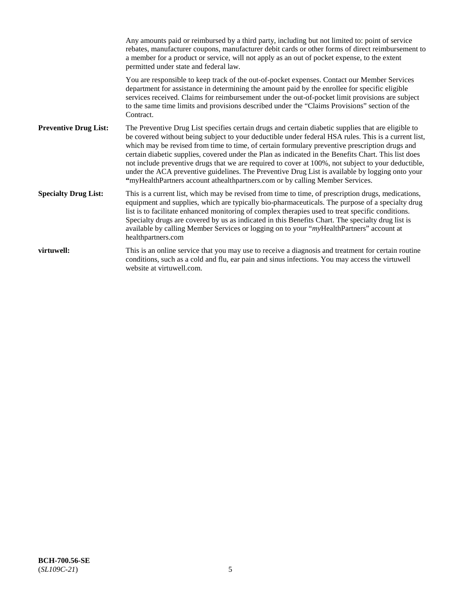|                              | Any amounts paid or reimbursed by a third party, including but not limited to: point of service<br>rebates, manufacturer coupons, manufacturer debit cards or other forms of direct reimbursement to<br>a member for a product or service, will not apply as an out of pocket expense, to the extent<br>permitted under state and federal law.                                                                                                                                                                                                                                                                                                                                                                   |
|------------------------------|------------------------------------------------------------------------------------------------------------------------------------------------------------------------------------------------------------------------------------------------------------------------------------------------------------------------------------------------------------------------------------------------------------------------------------------------------------------------------------------------------------------------------------------------------------------------------------------------------------------------------------------------------------------------------------------------------------------|
|                              | You are responsible to keep track of the out-of-pocket expenses. Contact our Member Services<br>department for assistance in determining the amount paid by the enrollee for specific eligible<br>services received. Claims for reimbursement under the out-of-pocket limit provisions are subject<br>to the same time limits and provisions described under the "Claims Provisions" section of the<br>Contract.                                                                                                                                                                                                                                                                                                 |
| <b>Preventive Drug List:</b> | The Preventive Drug List specifies certain drugs and certain diabetic supplies that are eligible to<br>be covered without being subject to your deductible under federal HSA rules. This is a current list,<br>which may be revised from time to time, of certain formulary preventive prescription drugs and<br>certain diabetic supplies, covered under the Plan as indicated in the Benefits Chart. This list does<br>not include preventive drugs that we are required to cover at 100%, not subject to your deductible,<br>under the ACA preventive guidelines. The Preventive Drug List is available by logging onto your<br>"myHealthPartners account athealthpartners.com or by calling Member Services. |
| <b>Specialty Drug List:</b>  | This is a current list, which may be revised from time to time, of prescription drugs, medications,<br>equipment and supplies, which are typically bio-pharmaceuticals. The purpose of a specialty drug<br>list is to facilitate enhanced monitoring of complex therapies used to treat specific conditions.<br>Specialty drugs are covered by us as indicated in this Benefits Chart. The specialty drug list is<br>available by calling Member Services or logging on to your "myHealthPartners" account at<br>healthpartners.com                                                                                                                                                                              |
| virtuwell:                   | This is an online service that you may use to receive a diagnosis and treatment for certain routine<br>conditions, such as a cold and flu, ear pain and sinus infections. You may access the virtuwell<br>website at virtuwell.com.                                                                                                                                                                                                                                                                                                                                                                                                                                                                              |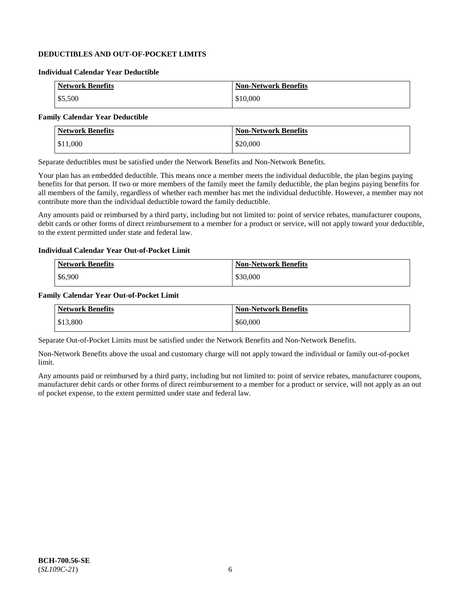## **DEDUCTIBLES AND OUT-OF-POCKET LIMITS**

### **Individual Calendar Year Deductible**

| <b>Network Benefits</b> | <b>Non-Network Benefits</b> |
|-------------------------|-----------------------------|
| \$5,500                 | \$10,000                    |

## **Family Calendar Year Deductible**

| <b>Network Benefits</b> | <b>Non-Network Benefits</b> |
|-------------------------|-----------------------------|
| \$11,000                | \$20,000                    |

Separate deductibles must be satisfied under the Network Benefits and Non-Network Benefits.

Your plan has an embedded deductible. This means once a member meets the individual deductible, the plan begins paying benefits for that person. If two or more members of the family meet the family deductible, the plan begins paying benefits for all members of the family, regardless of whether each member has met the individual deductible. However, a member may not contribute more than the individual deductible toward the family deductible.

Any amounts paid or reimbursed by a third party, including but not limited to: point of service rebates, manufacturer coupons, debit cards or other forms of direct reimbursement to a member for a product or service, will not apply toward your deductible, to the extent permitted under state and federal law.

#### **Individual Calendar Year Out-of-Pocket Limit**

| <b>Network Benefits</b> | <b>Non-Network Benefits</b> |
|-------------------------|-----------------------------|
| \$6,900                 | \$30,000                    |

#### **Family Calendar Year Out-of-Pocket Limit**

| <b>Network Benefits</b> | Non-Network Benefits |
|-------------------------|----------------------|
| \$13,800                | \$60,000             |

Separate Out-of-Pocket Limits must be satisfied under the Network Benefits and Non-Network Benefits.

Non-Network Benefits above the usual and customary charge will not apply toward the individual or family out-of-pocket limit.

Any amounts paid or reimbursed by a third party, including but not limited to: point of service rebates, manufacturer coupons, manufacturer debit cards or other forms of direct reimbursement to a member for a product or service, will not apply as an out of pocket expense, to the extent permitted under state and federal law.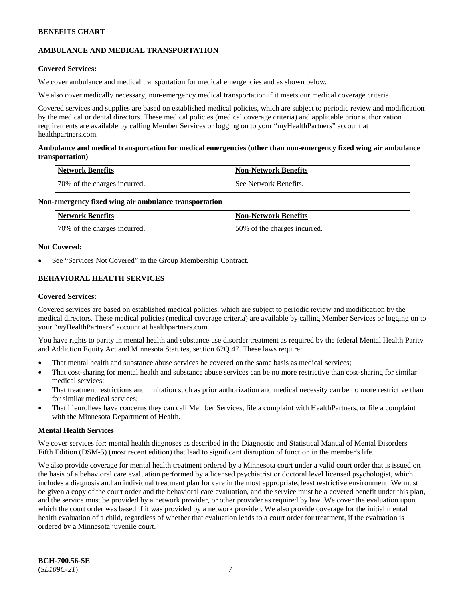## **AMBULANCE AND MEDICAL TRANSPORTATION**

## **Covered Services:**

We cover ambulance and medical transportation for medical emergencies and as shown below.

We also cover medically necessary, non-emergency medical transportation if it meets our medical coverage criteria.

Covered services and supplies are based on established medical policies, which are subject to periodic review and modification by the medical or dental directors. These medical policies (medical coverage criteria) and applicable prior authorization requirements are available by calling Member Services or logging on to your "myHealthPartners" account at [healthpartners.com.](https://www.healthpartners.com/hp/index.html)

## **Ambulance and medical transportation for medical emergencies (other than non-emergency fixed wing air ambulance transportation)**

| Network Benefits             | <b>Non-Network Benefits</b> |
|------------------------------|-----------------------------|
| 70% of the charges incurred. | See Network Benefits.       |

## **Non-emergency fixed wing air ambulance transportation**

| <b>Network Benefits</b>      | <b>Non-Network Benefits</b>  |
|------------------------------|------------------------------|
| 70% of the charges incurred. | 50% of the charges incurred. |

## **Not Covered:**

See "Services Not Covered" in the Group Membership Contract.

## **BEHAVIORAL HEALTH SERVICES**

## **Covered Services:**

Covered services are based on established medical policies, which are subject to periodic review and modification by the medical directors. These medical policies (medical coverage criteria) are available by calling Member Services or logging on to your "*my*HealthPartners" account at [healthpartners.com.](http://www.healthpartners.com/)

You have rights to parity in mental health and substance use disorder treatment as required by the federal Mental Health Parity and Addiction Equity Act and Minnesota Statutes, section 62Q.47. These laws require:

- That mental health and substance abuse services be covered on the same basis as medical services;
- That cost-sharing for mental health and substance abuse services can be no more restrictive than cost-sharing for similar medical services;
- That treatment restrictions and limitation such as prior authorization and medical necessity can be no more restrictive than for similar medical services;
- That if enrollees have concerns they can call Member Services, file a complaint with HealthPartners, or file a complaint with the Minnesota Department of Health.

## **Mental Health Services**

We cover services for: mental health diagnoses as described in the Diagnostic and Statistical Manual of Mental Disorders – Fifth Edition (DSM-5) (most recent edition) that lead to significant disruption of function in the member's life.

We also provide coverage for mental health treatment ordered by a Minnesota court under a valid court order that is issued on the basis of a behavioral care evaluation performed by a licensed psychiatrist or doctoral level licensed psychologist, which includes a diagnosis and an individual treatment plan for care in the most appropriate, least restrictive environment. We must be given a copy of the court order and the behavioral care evaluation, and the service must be a covered benefit under this plan, and the service must be provided by a network provider, or other provider as required by law. We cover the evaluation upon which the court order was based if it was provided by a network provider. We also provide coverage for the initial mental health evaluation of a child, regardless of whether that evaluation leads to a court order for treatment, if the evaluation is ordered by a Minnesota juvenile court.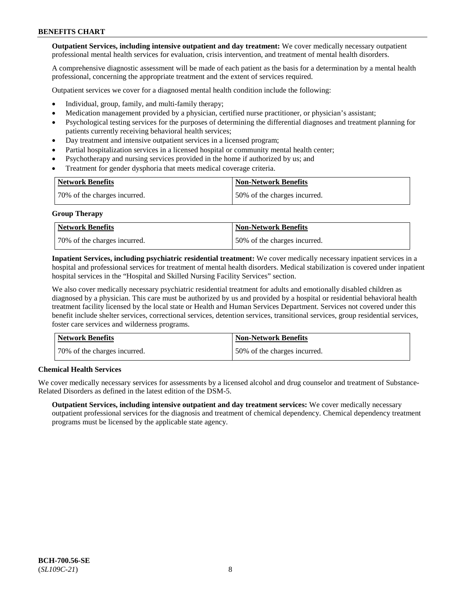**Outpatient Services, including intensive outpatient and day treatment:** We cover medically necessary outpatient professional mental health services for evaluation, crisis intervention, and treatment of mental health disorders.

A comprehensive diagnostic assessment will be made of each patient as the basis for a determination by a mental health professional, concerning the appropriate treatment and the extent of services required.

Outpatient services we cover for a diagnosed mental health condition include the following:

- Individual, group, family, and multi-family therapy;
- Medication management provided by a physician, certified nurse practitioner, or physician's assistant;
- Psychological testing services for the purposes of determining the differential diagnoses and treatment planning for patients currently receiving behavioral health services;
- Day treatment and intensive outpatient services in a licensed program;
- Partial hospitalization services in a licensed hospital or community mental health center;
- Psychotherapy and nursing services provided in the home if authorized by us; and
- Treatment for gender dysphoria that meets medical coverage criteria.

| <b>Network Benefits</b>      | <b>Non-Network Benefits</b>  |
|------------------------------|------------------------------|
| 70% of the charges incurred. | 50% of the charges incurred. |

#### **Group Therapy**

| Network Benefits             | <b>Non-Network Benefits</b>  |
|------------------------------|------------------------------|
| 70% of the charges incurred. | 50% of the charges incurred. |

**Inpatient Services, including psychiatric residential treatment:** We cover medically necessary inpatient services in a hospital and professional services for treatment of mental health disorders. Medical stabilization is covered under inpatient hospital services in the "Hospital and Skilled Nursing Facility Services" section.

We also cover medically necessary psychiatric residential treatment for adults and emotionally disabled children as diagnosed by a physician. This care must be authorized by us and provided by a hospital or residential behavioral health treatment facility licensed by the local state or Health and Human Services Department. Services not covered under this benefit include shelter services, correctional services, detention services, transitional services, group residential services, foster care services and wilderness programs.

| Network Benefits             | <b>Non-Network Benefits</b>  |
|------------------------------|------------------------------|
| 70% of the charges incurred. | 50% of the charges incurred. |

## **Chemical Health Services**

We cover medically necessary services for assessments by a licensed alcohol and drug counselor and treatment of Substance-Related Disorders as defined in the latest edition of the DSM-5.

**Outpatient Services, including intensive outpatient and day treatment services:** We cover medically necessary outpatient professional services for the diagnosis and treatment of chemical dependency. Chemical dependency treatment programs must be licensed by the applicable state agency.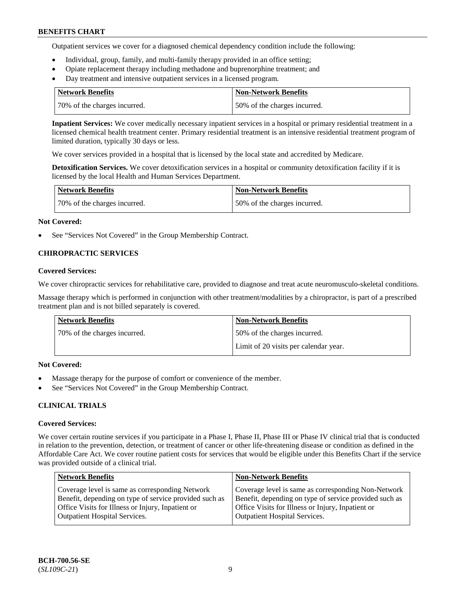Outpatient services we cover for a diagnosed chemical dependency condition include the following:

- Individual, group, family, and multi-family therapy provided in an office setting;
- Opiate replacement therapy including methadone and buprenorphine treatment; and
- Day treatment and intensive outpatient services in a licensed program.

| Network Benefits             | <b>Non-Network Benefits</b>  |
|------------------------------|------------------------------|
| 70% of the charges incurred. | 50% of the charges incurred. |

**Inpatient Services:** We cover medically necessary inpatient services in a hospital or primary residential treatment in a licensed chemical health treatment center. Primary residential treatment is an intensive residential treatment program of limited duration, typically 30 days or less.

We cover services provided in a hospital that is licensed by the local state and accredited by Medicare.

**Detoxification Services.** We cover detoxification services in a hospital or community detoxification facility if it is licensed by the local Health and Human Services Department.

| <b>Network Benefits</b>      | Non-Network Benefits         |
|------------------------------|------------------------------|
| 70% of the charges incurred. | 50% of the charges incurred. |

### **Not Covered:**

See "Services Not Covered" in the Group Membership Contract.

## **CHIROPRACTIC SERVICES**

### **Covered Services:**

We cover chiropractic services for rehabilitative care, provided to diagnose and treat acute neuromusculo-skeletal conditions.

Massage therapy which is performed in conjunction with other treatment/modalities by a chiropractor, is part of a prescribed treatment plan and is not billed separately is covered.

| <b>Network Benefits</b>      | <b>Non-Network Benefits</b>           |
|------------------------------|---------------------------------------|
| 70% of the charges incurred. | 50% of the charges incurred.          |
|                              | Limit of 20 visits per calendar year. |

## **Not Covered:**

- Massage therapy for the purpose of comfort or convenience of the member.
- See "Services Not Covered" in the Group Membership Contract.

## **CLINICAL TRIALS**

## **Covered Services:**

We cover certain routine services if you participate in a Phase I, Phase II, Phase III or Phase IV clinical trial that is conducted in relation to the prevention, detection, or treatment of cancer or other life-threatening disease or condition as defined in the Affordable Care Act. We cover routine patient costs for services that would be eligible under this Benefits Chart if the service was provided outside of a clinical trial.

| <b>Network Benefits</b>                                                                                                                                                                                | <b>Non-Network Benefits</b>                                                                                                                                                                                |
|--------------------------------------------------------------------------------------------------------------------------------------------------------------------------------------------------------|------------------------------------------------------------------------------------------------------------------------------------------------------------------------------------------------------------|
| Coverage level is same as corresponding Network<br>Benefit, depending on type of service provided such as<br>Office Visits for Illness or Injury, Inpatient or<br><b>Outpatient Hospital Services.</b> | Coverage level is same as corresponding Non-Network<br>Benefit, depending on type of service provided such as<br>Office Visits for Illness or Injury, Inpatient or<br><b>Outpatient Hospital Services.</b> |
|                                                                                                                                                                                                        |                                                                                                                                                                                                            |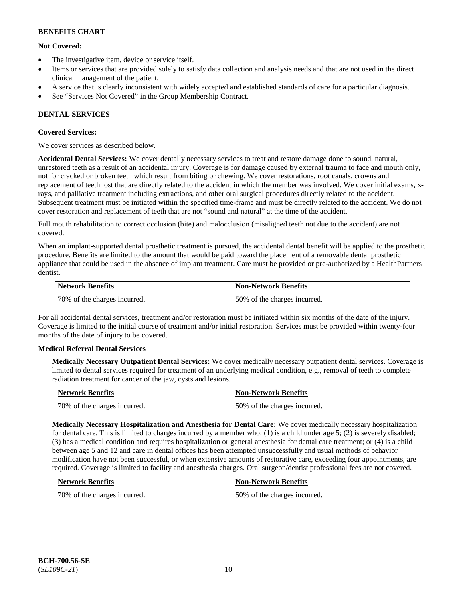## **Not Covered:**

- The investigative item, device or service itself.
- Items or services that are provided solely to satisfy data collection and analysis needs and that are not used in the direct clinical management of the patient.
- A service that is clearly inconsistent with widely accepted and established standards of care for a particular diagnosis.
- See "Services Not Covered" in the Group Membership Contract.

## **DENTAL SERVICES**

## **Covered Services:**

We cover services as described below.

**Accidental Dental Services:** We cover dentally necessary services to treat and restore damage done to sound, natural, unrestored teeth as a result of an accidental injury. Coverage is for damage caused by external trauma to face and mouth only, not for cracked or broken teeth which result from biting or chewing. We cover restorations, root canals, crowns and replacement of teeth lost that are directly related to the accident in which the member was involved. We cover initial exams, xrays, and palliative treatment including extractions, and other oral surgical procedures directly related to the accident. Subsequent treatment must be initiated within the specified time-frame and must be directly related to the accident. We do not cover restoration and replacement of teeth that are not "sound and natural" at the time of the accident.

Full mouth rehabilitation to correct occlusion (bite) and malocclusion (misaligned teeth not due to the accident) are not covered.

When an implant-supported dental prosthetic treatment is pursued, the accidental dental benefit will be applied to the prosthetic procedure. Benefits are limited to the amount that would be paid toward the placement of a removable dental prosthetic appliance that could be used in the absence of implant treatment. Care must be provided or pre-authorized by a HealthPartners dentist.

| Network Benefits             | <b>Non-Network Benefits</b>  |
|------------------------------|------------------------------|
| 70% of the charges incurred. | 50% of the charges incurred. |

For all accidental dental services, treatment and/or restoration must be initiated within six months of the date of the injury. Coverage is limited to the initial course of treatment and/or initial restoration. Services must be provided within twenty-four months of the date of injury to be covered.

## **Medical Referral Dental Services**

**Medically Necessary Outpatient Dental Services:** We cover medically necessary outpatient dental services. Coverage is limited to dental services required for treatment of an underlying medical condition, e.g., removal of teeth to complete radiation treatment for cancer of the jaw, cysts and lesions.

| Network Benefits             | Non-Network Benefits         |
|------------------------------|------------------------------|
| 70% of the charges incurred. | 50% of the charges incurred. |

**Medically Necessary Hospitalization and Anesthesia for Dental Care:** We cover medically necessary hospitalization for dental care. This is limited to charges incurred by a member who: (1) is a child under age  $5$ ; (2) is severely disabled; (3) has a medical condition and requires hospitalization or general anesthesia for dental care treatment; or (4) is a child between age 5 and 12 and care in dental offices has been attempted unsuccessfully and usual methods of behavior modification have not been successful, or when extensive amounts of restorative care, exceeding four appointments, are required. Coverage is limited to facility and anesthesia charges. Oral surgeon/dentist professional fees are not covered.

| Network Benefits             | <b>Non-Network Benefits</b>  |
|------------------------------|------------------------------|
| 70% of the charges incurred. | 50% of the charges incurred. |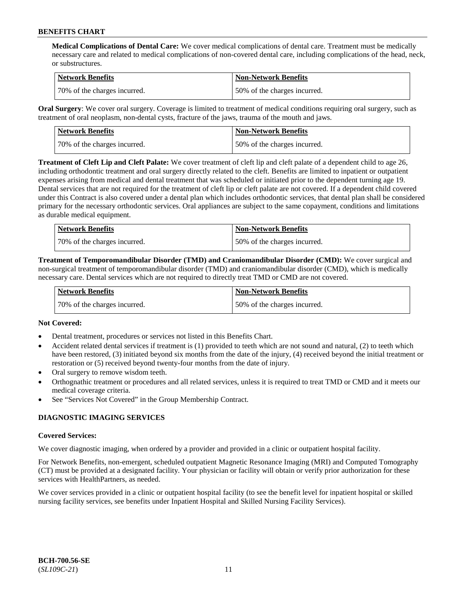**Medical Complications of Dental Care:** We cover medical complications of dental care. Treatment must be medically necessary care and related to medical complications of non-covered dental care, including complications of the head, neck, or substructures.

| Network Benefits             | <b>Non-Network Benefits</b>  |
|------------------------------|------------------------------|
| 70% of the charges incurred. | 50% of the charges incurred. |

**Oral Surgery**: We cover oral surgery. Coverage is limited to treatment of medical conditions requiring oral surgery, such as treatment of oral neoplasm, non-dental cysts, fracture of the jaws, trauma of the mouth and jaws.

| <b>Network Benefits</b>      | <b>Non-Network Benefits</b>  |
|------------------------------|------------------------------|
| 70% of the charges incurred. | 50% of the charges incurred. |

**Treatment of Cleft Lip and Cleft Palate:** We cover treatment of cleft lip and cleft palate of a dependent child to age 26, including orthodontic treatment and oral surgery directly related to the cleft. Benefits are limited to inpatient or outpatient expenses arising from medical and dental treatment that was scheduled or initiated prior to the dependent turning age 19. Dental services that are not required for the treatment of cleft lip or cleft palate are not covered. If a dependent child covered under this Contract is also covered under a dental plan which includes orthodontic services, that dental plan shall be considered primary for the necessary orthodontic services. Oral appliances are subject to the same copayment, conditions and limitations as durable medical equipment.

| <b>Network Benefits</b>      | <b>Non-Network Benefits</b>  |
|------------------------------|------------------------------|
| 70% of the charges incurred. | 50% of the charges incurred. |

**Treatment of Temporomandibular Disorder (TMD) and Craniomandibular Disorder (CMD):** We cover surgical and non-surgical treatment of temporomandibular disorder (TMD) and craniomandibular disorder (CMD), which is medically necessary care. Dental services which are not required to directly treat TMD or CMD are not covered.

| <b>Network Benefits</b>      | <b>Non-Network Benefits</b>  |
|------------------------------|------------------------------|
| 70% of the charges incurred. | 50% of the charges incurred. |

## **Not Covered:**

- Dental treatment, procedures or services not listed in this Benefits Chart.
- Accident related dental services if treatment is (1) provided to teeth which are not sound and natural, (2) to teeth which have been restored, (3) initiated beyond six months from the date of the injury, (4) received beyond the initial treatment or restoration or (5) received beyond twenty-four months from the date of injury.
- Oral surgery to remove wisdom teeth.
- Orthognathic treatment or procedures and all related services, unless it is required to treat TMD or CMD and it meets our medical coverage criteria.
- See "Services Not Covered" in the Group Membership Contract.

## **DIAGNOSTIC IMAGING SERVICES**

#### **Covered Services:**

We cover diagnostic imaging, when ordered by a provider and provided in a clinic or outpatient hospital facility.

For Network Benefits, non-emergent, scheduled outpatient Magnetic Resonance Imaging (MRI) and Computed Tomography (CT) must be provided at a designated facility. Your physician or facility will obtain or verify prior authorization for these services with HealthPartners, as needed.

We cover services provided in a clinic or outpatient hospital facility (to see the benefit level for inpatient hospital or skilled nursing facility services, see benefits under Inpatient Hospital and Skilled Nursing Facility Services).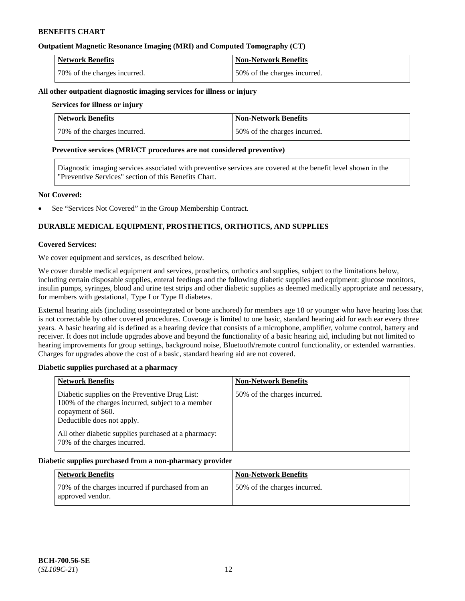## **Outpatient Magnetic Resonance Imaging (MRI) and Computed Tomography (CT)**

| <b>Network Benefits</b>      | <b>Non-Network Benefits</b>  |
|------------------------------|------------------------------|
| 70% of the charges incurred. | 50% of the charges incurred. |

#### **All other outpatient diagnostic imaging services for illness or injury**

## **Services for illness or injury**

| <b>Network Benefits</b>      | <b>Non-Network Benefits</b>  |
|------------------------------|------------------------------|
| 70% of the charges incurred. | 50% of the charges incurred. |

### **Preventive services (MRI/CT procedures are not considered preventive)**

Diagnostic imaging services associated with preventive services are covered at the benefit level shown in the "Preventive Services" section of this Benefits Chart.

### **Not Covered:**

See "Services Not Covered" in the Group Membership Contract.

## **DURABLE MEDICAL EQUIPMENT, PROSTHETICS, ORTHOTICS, AND SUPPLIES**

### **Covered Services:**

We cover equipment and services, as described below.

We cover durable medical equipment and services, prosthetics, orthotics and supplies, subject to the limitations below, including certain disposable supplies, enteral feedings and the following diabetic supplies and equipment: glucose monitors, insulin pumps, syringes, blood and urine test strips and other diabetic supplies as deemed medically appropriate and necessary, for members with gestational, Type I or Type II diabetes.

External hearing aids (including osseointegrated or bone anchored) for members age 18 or younger who have hearing loss that is not correctable by other covered procedures. Coverage is limited to one basic, standard hearing aid for each ear every three years. A basic hearing aid is defined as a hearing device that consists of a microphone, amplifier, volume control, battery and receiver. It does not include upgrades above and beyond the functionality of a basic hearing aid, including but not limited to hearing improvements for group settings, background noise, Bluetooth/remote control functionality, or extended warranties. Charges for upgrades above the cost of a basic, standard hearing aid are not covered.

## **Diabetic supplies purchased at a pharmacy**

| <b>Network Benefits</b>                                                                                                                                 | <b>Non-Network Benefits</b>  |
|---------------------------------------------------------------------------------------------------------------------------------------------------------|------------------------------|
| Diabetic supplies on the Preventive Drug List:<br>100% of the charges incurred, subject to a member<br>copayment of \$60.<br>Deductible does not apply. | 50% of the charges incurred. |
| All other diabetic supplies purchased at a pharmacy:<br>70% of the charges incurred.                                                                    |                              |

#### **Diabetic supplies purchased from a non-pharmacy provider**

| <b>Network Benefits</b>                                              | <b>Non-Network Benefits</b>  |
|----------------------------------------------------------------------|------------------------------|
| 70% of the charges incurred if purchased from an<br>approved vendor. | 50% of the charges incurred. |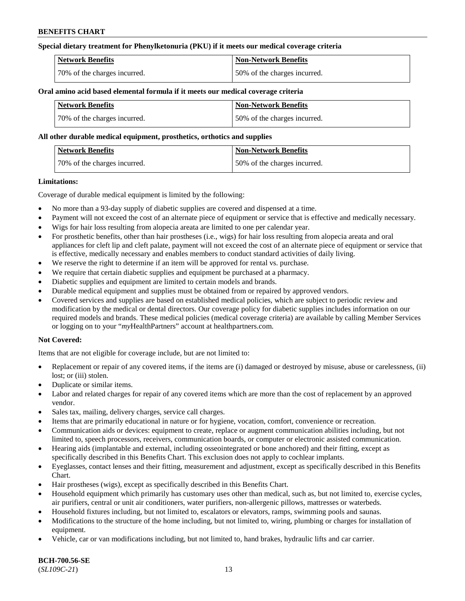## **Special dietary treatment for Phenylketonuria (PKU) if it meets our medical coverage criteria**

| <b>Network Benefits</b>      | <b>Non-Network Benefits</b>    |
|------------------------------|--------------------------------|
| 70% of the charges incurred. | 1.50% of the charges incurred. |

#### **Oral amino acid based elemental formula if it meets our medical coverage criteria**

| <b>Network Benefits</b>      | Non-Network Benefits         |
|------------------------------|------------------------------|
| 70% of the charges incurred. | 50% of the charges incurred. |

#### **All other durable medical equipment, prosthetics, orthotics and supplies**

| Network Benefits             | <b>Non-Network Benefits</b>  |
|------------------------------|------------------------------|
| 70% of the charges incurred. | 50% of the charges incurred. |

### **Limitations:**

Coverage of durable medical equipment is limited by the following:

- No more than a 93-day supply of diabetic supplies are covered and dispensed at a time.
- Payment will not exceed the cost of an alternate piece of equipment or service that is effective and medically necessary.
- Wigs for hair loss resulting from alopecia areata are limited to one per calendar year.
- For prosthetic benefits, other than hair prostheses (i.e., wigs) for hair loss resulting from alopecia areata and oral appliances for cleft lip and cleft palate, payment will not exceed the cost of an alternate piece of equipment or service that is effective, medically necessary and enables members to conduct standard activities of daily living.
- We reserve the right to determine if an item will be approved for rental vs. purchase.
- We require that certain diabetic supplies and equipment be purchased at a pharmacy.
- Diabetic supplies and equipment are limited to certain models and brands.
- Durable medical equipment and supplies must be obtained from or repaired by approved vendors.
- Covered services and supplies are based on established medical policies, which are subject to periodic review and modification by the medical or dental directors. Our coverage policy for diabetic supplies includes information on our required models and brands. These medical policies (medical coverage criteria) are available by calling Member Services or logging on to your "*my*HealthPartners" account a[t healthpartners.com.](https://www.healthpartners.com/hp/index.html)

## **Not Covered:**

Items that are not eligible for coverage include, but are not limited to:

- Replacement or repair of any covered items, if the items are (i) damaged or destroyed by misuse, abuse or carelessness, (ii) lost; or (iii) stolen.
- Duplicate or similar items.
- Labor and related charges for repair of any covered items which are more than the cost of replacement by an approved vendor.
- Sales tax, mailing, delivery charges, service call charges.
- Items that are primarily educational in nature or for hygiene, vocation, comfort, convenience or recreation.
- Communication aids or devices: equipment to create, replace or augment communication abilities including, but not limited to, speech processors, receivers, communication boards, or computer or electronic assisted communication.
- Hearing aids (implantable and external, including osseointegrated or bone anchored) and their fitting, except as specifically described in this Benefits Chart. This exclusion does not apply to cochlear implants.
- Eyeglasses, contact lenses and their fitting, measurement and adjustment, except as specifically described in this Benefits Chart.
- Hair prostheses (wigs), except as specifically described in this Benefits Chart.
- Household equipment which primarily has customary uses other than medical, such as, but not limited to, exercise cycles, air purifiers, central or unit air conditioners, water purifiers, non-allergenic pillows, mattresses or waterbeds.
- Household fixtures including, but not limited to, escalators or elevators, ramps, swimming pools and saunas.
- Modifications to the structure of the home including, but not limited to, wiring, plumbing or charges for installation of equipment.
- Vehicle, car or van modifications including, but not limited to, hand brakes, hydraulic lifts and car carrier.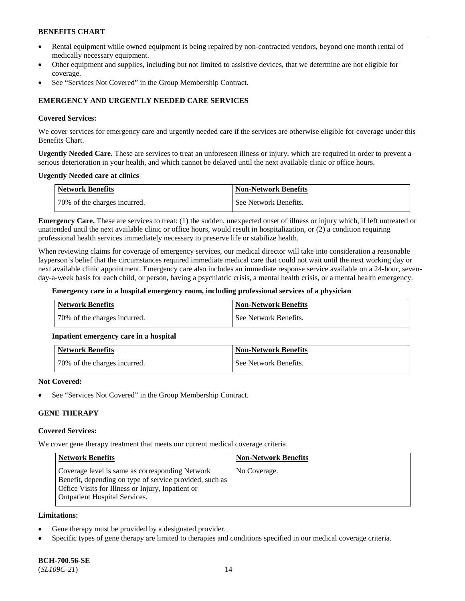- Rental equipment while owned equipment is being repaired by non-contracted vendors, beyond one month rental of medically necessary equipment.
- Other equipment and supplies, including but not limited to assistive devices, that we determine are not eligible for coverage.
- See "Services Not Covered" in the Group Membership Contract.

## **EMERGENCY AND URGENTLY NEEDED CARE SERVICES**

### **Covered Services:**

We cover services for emergency care and urgently needed care if the services are otherwise eligible for coverage under this Benefits Chart.

**Urgently Needed Care.** These are services to treat an unforeseen illness or injury, which are required in order to prevent a serious deterioration in your health, and which cannot be delayed until the next available clinic or office hours.

### **Urgently Needed care at clinics**

| <b>Network Benefits</b>      | <b>Non-Network Benefits</b> |
|------------------------------|-----------------------------|
| 70% of the charges incurred. | See Network Benefits.       |

**Emergency Care.** These are services to treat: (1) the sudden, unexpected onset of illness or injury which, if left untreated or unattended until the next available clinic or office hours, would result in hospitalization, or (2) a condition requiring professional health services immediately necessary to preserve life or stabilize health.

When reviewing claims for coverage of emergency services, our medical director will take into consideration a reasonable layperson's belief that the circumstances required immediate medical care that could not wait until the next working day or next available clinic appointment. Emergency care also includes an immediate response service available on a 24-hour, sevenday-a-week basis for each child, or person, having a psychiatric crisis, a mental health crisis, or a mental health emergency.

#### **Emergency care in a hospital emergency room, including professional services of a physician**

| Network Benefits             | Non-Network Benefits  |
|------------------------------|-----------------------|
| 70% of the charges incurred. | See Network Benefits. |

## **Inpatient emergency care in a hospital**

| Network Benefits             | <b>Non-Network Benefits</b> |
|------------------------------|-----------------------------|
| 70% of the charges incurred. | See Network Benefits.       |

#### **Not Covered:**

See "Services Not Covered" in the Group Membership Contract.

## **GENE THERAPY**

## **Covered Services:**

We cover gene therapy treatment that meets our current medical coverage criteria.

| <b>Network Benefits</b>                                                                                                                                                                                 | <b>Non-Network Benefits</b> |
|---------------------------------------------------------------------------------------------------------------------------------------------------------------------------------------------------------|-----------------------------|
| Coverage level is same as corresponding Network<br>Benefit, depending on type of service provided, such as<br>Office Visits for Illness or Injury, Inpatient or<br><b>Outpatient Hospital Services.</b> | No Coverage.                |

### **Limitations:**

- Gene therapy must be provided by a designated provider.
- Specific types of gene therapy are limited to therapies and conditions specified in our medical coverage criteria.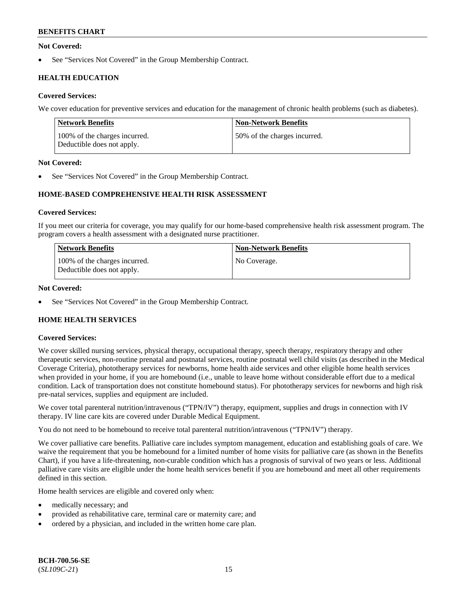## **Not Covered:**

See "Services Not Covered" in the Group Membership Contract.

## **HEALTH EDUCATION**

## **Covered Services:**

We cover education for preventive services and education for the management of chronic health problems (such as diabetes).

| Network Benefits                                            | <b>Non-Network Benefits</b>  |
|-------------------------------------------------------------|------------------------------|
| 100% of the charges incurred.<br>Deductible does not apply. | 50% of the charges incurred. |

## **Not Covered:**

See "Services Not Covered" in the Group Membership Contract.

## **HOME-BASED COMPREHENSIVE HEALTH RISK ASSESSMENT**

### **Covered Services:**

If you meet our criteria for coverage, you may qualify for our home-based comprehensive health risk assessment program. The program covers a health assessment with a designated nurse practitioner.

| <b>Network Benefits</b>                                     | <b>Non-Network Benefits</b> |
|-------------------------------------------------------------|-----------------------------|
| 100% of the charges incurred.<br>Deductible does not apply. | No Coverage.                |

## **Not Covered:**

See "Services Not Covered" in the Group Membership Contract.

## **HOME HEALTH SERVICES**

## **Covered Services:**

We cover skilled nursing services, physical therapy, occupational therapy, speech therapy, respiratory therapy and other therapeutic services, non-routine prenatal and postnatal services, routine postnatal well child visits (as described in the Medical Coverage Criteria), phototherapy services for newborns, home health aide services and other eligible home health services when provided in your home, if you are homebound (i.e., unable to leave home without considerable effort due to a medical condition. Lack of transportation does not constitute homebound status). For phototherapy services for newborns and high risk pre-natal services, supplies and equipment are included.

We cover total parenteral nutrition/intravenous ("TPN/IV") therapy, equipment, supplies and drugs in connection with IV therapy. IV line care kits are covered under Durable Medical Equipment.

You do not need to be homebound to receive total parenteral nutrition/intravenous ("TPN/IV") therapy.

We cover palliative care benefits. Palliative care includes symptom management, education and establishing goals of care. We waive the requirement that you be homebound for a limited number of home visits for palliative care (as shown in the Benefits Chart), if you have a life-threatening, non-curable condition which has a prognosis of survival of two years or less. Additional palliative care visits are eligible under the home health services benefit if you are homebound and meet all other requirements defined in this section.

Home health services are eligible and covered only when:

- medically necessary; and
- provided as rehabilitative care, terminal care or maternity care; and
- ordered by a physician, and included in the written home care plan.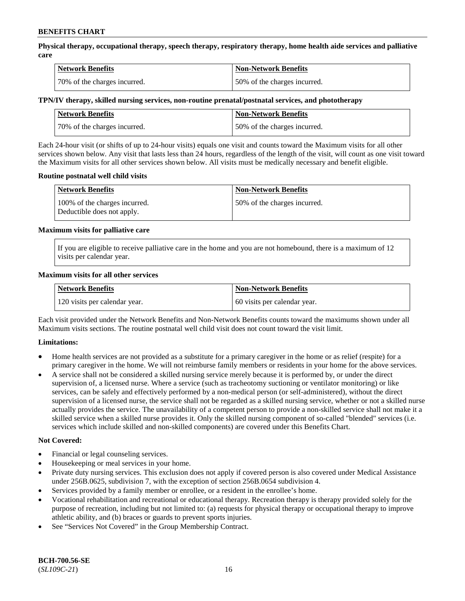**Physical therapy, occupational therapy, speech therapy, respiratory therapy, home health aide services and palliative care**

| <b>Network Benefits</b>      | <b>Non-Network Benefits</b>  |
|------------------------------|------------------------------|
| 70% of the charges incurred. | 50% of the charges incurred. |

## **TPN/IV therapy, skilled nursing services, non-routine prenatal/postnatal services, and phototherapy**

| Network Benefits             | Non-Network Benefits         |
|------------------------------|------------------------------|
| 70% of the charges incurred. | 50% of the charges incurred. |

Each 24-hour visit (or shifts of up to 24-hour visits) equals one visit and counts toward the Maximum visits for all other services shown below. Any visit that lasts less than 24 hours, regardless of the length of the visit, will count as one visit toward the Maximum visits for all other services shown below. All visits must be medically necessary and benefit eligible.

### **Routine postnatal well child visits**

| <b>Network Benefits</b>                                     | <b>Non-Network Benefits</b>  |
|-------------------------------------------------------------|------------------------------|
| 100% of the charges incurred.<br>Deductible does not apply. | 50% of the charges incurred. |

### **Maximum visits for palliative care**

If you are eligible to receive palliative care in the home and you are not homebound, there is a maximum of 12 visits per calendar year.

### **Maximum visits for all other services**

| <b>Network Benefits</b>       | <b>Non-Network Benefits</b>  |
|-------------------------------|------------------------------|
| 120 visits per calendar year. | 60 visits per calendar year. |

Each visit provided under the Network Benefits and Non-Network Benefits counts toward the maximums shown under all Maximum visits sections. The routine postnatal well child visit does not count toward the visit limit.

## **Limitations:**

- Home health services are not provided as a substitute for a primary caregiver in the home or as relief (respite) for a primary caregiver in the home. We will not reimburse family members or residents in your home for the above services.
- A service shall not be considered a skilled nursing service merely because it is performed by, or under the direct supervision of, a licensed nurse. Where a service (such as tracheotomy suctioning or ventilator monitoring) or like services, can be safely and effectively performed by a non-medical person (or self-administered), without the direct supervision of a licensed nurse, the service shall not be regarded as a skilled nursing service, whether or not a skilled nurse actually provides the service. The unavailability of a competent person to provide a non-skilled service shall not make it a skilled service when a skilled nurse provides it. Only the skilled nursing component of so-called "blended" services (i.e. services which include skilled and non-skilled components) are covered under this Benefits Chart.

#### **Not Covered:**

- Financial or legal counseling services.
- Housekeeping or meal services in your home.
- Private duty nursing services. This exclusion does not apply if covered person is also covered under Medical Assistance under 256B.0625, subdivision 7, with the exception of section 256B.0654 subdivision 4.
- Services provided by a family member or enrollee, or a resident in the enrollee's home.
- Vocational rehabilitation and recreational or educational therapy. Recreation therapy is therapy provided solely for the purpose of recreation, including but not limited to: (a) requests for physical therapy or occupational therapy to improve athletic ability, and (b) braces or guards to prevent sports injuries.
- See "Services Not Covered" in the Group Membership Contract.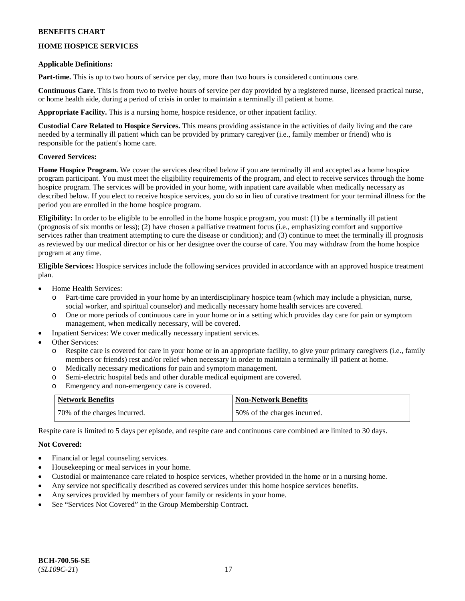## **HOME HOSPICE SERVICES**

### **Applicable Definitions:**

**Part-time.** This is up to two hours of service per day, more than two hours is considered continuous care.

**Continuous Care.** This is from two to twelve hours of service per day provided by a registered nurse, licensed practical nurse, or home health aide, during a period of crisis in order to maintain a terminally ill patient at home.

**Appropriate Facility.** This is a nursing home, hospice residence, or other inpatient facility.

**Custodial Care Related to Hospice Services.** This means providing assistance in the activities of daily living and the care needed by a terminally ill patient which can be provided by primary caregiver (i.e., family member or friend) who is responsible for the patient's home care.

## **Covered Services:**

**Home Hospice Program.** We cover the services described below if you are terminally ill and accepted as a home hospice program participant. You must meet the eligibility requirements of the program, and elect to receive services through the home hospice program. The services will be provided in your home, with inpatient care available when medically necessary as described below. If you elect to receive hospice services, you do so in lieu of curative treatment for your terminal illness for the period you are enrolled in the home hospice program.

**Eligibility:** In order to be eligible to be enrolled in the home hospice program, you must: (1) be a terminally ill patient (prognosis of six months or less); (2) have chosen a palliative treatment focus (i.e., emphasizing comfort and supportive services rather than treatment attempting to cure the disease or condition); and (3) continue to meet the terminally ill prognosis as reviewed by our medical director or his or her designee over the course of care. You may withdraw from the home hospice program at any time.

**Eligible Services:** Hospice services include the following services provided in accordance with an approved hospice treatment plan.

- Home Health Services:
	- o Part-time care provided in your home by an interdisciplinary hospice team (which may include a physician, nurse, social worker, and spiritual counselor) and medically necessary home health services are covered.
	- o One or more periods of continuous care in your home or in a setting which provides day care for pain or symptom management, when medically necessary, will be covered.
- Inpatient Services: We cover medically necessary inpatient services.
- Other Services:
	- o Respite care is covered for care in your home or in an appropriate facility, to give your primary caregivers (i.e., family members or friends) rest and/or relief when necessary in order to maintain a terminally ill patient at home.
	- o Medically necessary medications for pain and symptom management.
	- o Semi-electric hospital beds and other durable medical equipment are covered.
	- o Emergency and non-emergency care is covered.

| Network Benefits             | <b>Non-Network Benefits</b>  |
|------------------------------|------------------------------|
| 70% of the charges incurred. | 50% of the charges incurred. |

Respite care is limited to 5 days per episode, and respite care and continuous care combined are limited to 30 days.

## **Not Covered:**

- Financial or legal counseling services.
- Housekeeping or meal services in your home.
- Custodial or maintenance care related to hospice services, whether provided in the home or in a nursing home.
- Any service not specifically described as covered services under this home hospice services benefits.
- Any services provided by members of your family or residents in your home.
- See "Services Not Covered" in the Group Membership Contract.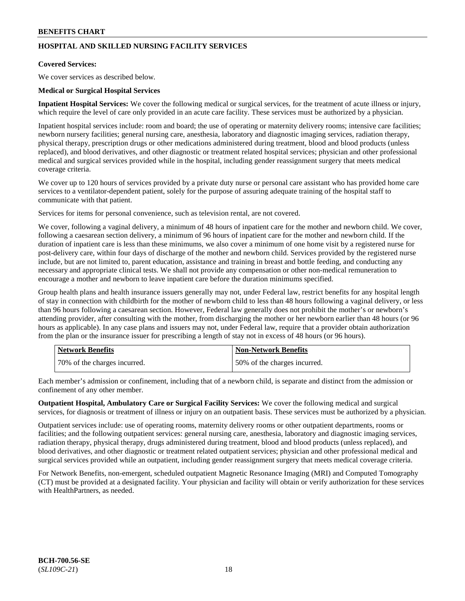## **HOSPITAL AND SKILLED NURSING FACILITY SERVICES**

## **Covered Services:**

We cover services as described below.

### **Medical or Surgical Hospital Services**

**Inpatient Hospital Services:** We cover the following medical or surgical services, for the treatment of acute illness or injury, which require the level of care only provided in an acute care facility. These services must be authorized by a physician.

Inpatient hospital services include: room and board; the use of operating or maternity delivery rooms; intensive care facilities; newborn nursery facilities; general nursing care, anesthesia, laboratory and diagnostic imaging services, radiation therapy, physical therapy, prescription drugs or other medications administered during treatment, blood and blood products (unless replaced), and blood derivatives, and other diagnostic or treatment related hospital services; physician and other professional medical and surgical services provided while in the hospital, including gender reassignment surgery that meets medical coverage criteria.

We cover up to 120 hours of services provided by a private duty nurse or personal care assistant who has provided home care services to a ventilator-dependent patient, solely for the purpose of assuring adequate training of the hospital staff to communicate with that patient.

Services for items for personal convenience, such as television rental, are not covered.

We cover, following a vaginal delivery, a minimum of 48 hours of inpatient care for the mother and newborn child. We cover, following a caesarean section delivery, a minimum of 96 hours of inpatient care for the mother and newborn child. If the duration of inpatient care is less than these minimums, we also cover a minimum of one home visit by a registered nurse for post-delivery care, within four days of discharge of the mother and newborn child. Services provided by the registered nurse include, but are not limited to, parent education, assistance and training in breast and bottle feeding, and conducting any necessary and appropriate clinical tests. We shall not provide any compensation or other non-medical remuneration to encourage a mother and newborn to leave inpatient care before the duration minimums specified.

Group health plans and health insurance issuers generally may not, under Federal law, restrict benefits for any hospital length of stay in connection with childbirth for the mother of newborn child to less than 48 hours following a vaginal delivery, or less than 96 hours following a caesarean section. However, Federal law generally does not prohibit the mother's or newborn's attending provider, after consulting with the mother, from discharging the mother or her newborn earlier than 48 hours (or 96 hours as applicable). In any case plans and issuers may not, under Federal law, require that a provider obtain authorization from the plan or the insurance issuer for prescribing a length of stay not in excess of 48 hours (or 96 hours).

| <b>Network Benefits</b>      | Non-Network Benefits         |
|------------------------------|------------------------------|
| 70% of the charges incurred. | 50% of the charges incurred. |

Each member's admission or confinement, including that of a newborn child, is separate and distinct from the admission or confinement of any other member.

**Outpatient Hospital, Ambulatory Care or Surgical Facility Services:** We cover the following medical and surgical services, for diagnosis or treatment of illness or injury on an outpatient basis. These services must be authorized by a physician.

Outpatient services include: use of operating rooms, maternity delivery rooms or other outpatient departments, rooms or facilities; and the following outpatient services: general nursing care, anesthesia, laboratory and diagnostic imaging services, radiation therapy, physical therapy, drugs administered during treatment, blood and blood products (unless replaced), and blood derivatives, and other diagnostic or treatment related outpatient services; physician and other professional medical and surgical services provided while an outpatient, including gender reassignment surgery that meets medical coverage criteria.

For Network Benefits, non-emergent, scheduled outpatient Magnetic Resonance Imaging (MRI) and Computed Tomography (CT) must be provided at a designated facility. Your physician and facility will obtain or verify authorization for these services with HealthPartners, as needed.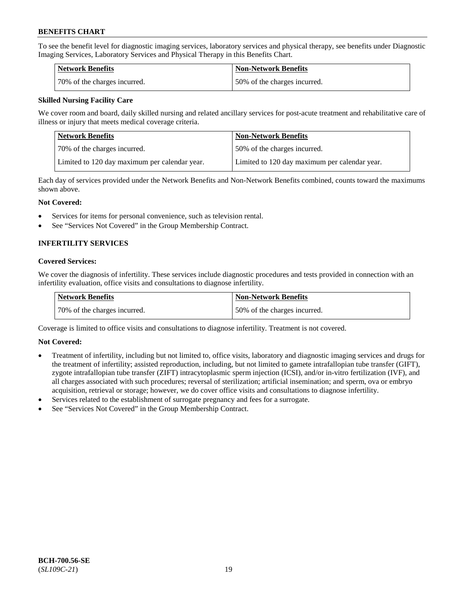To see the benefit level for diagnostic imaging services, laboratory services and physical therapy, see benefits under Diagnostic Imaging Services, Laboratory Services and Physical Therapy in this Benefits Chart.

| Network Benefits             | <b>Non-Network Benefits</b>  |
|------------------------------|------------------------------|
| 70% of the charges incurred. | 50% of the charges incurred. |

## **Skilled Nursing Facility Care**

We cover room and board, daily skilled nursing and related ancillary services for post-acute treatment and rehabilitative care of illness or injury that meets medical coverage criteria.

| Network Benefits                              | <b>Non-Network Benefits</b>                   |
|-----------------------------------------------|-----------------------------------------------|
| 170% of the charges incurred.                 | 50% of the charges incurred.                  |
| Limited to 120 day maximum per calendar year. | Limited to 120 day maximum per calendar year. |

Each day of services provided under the Network Benefits and Non-Network Benefits combined, counts toward the maximums shown above.

### **Not Covered:**

- Services for items for personal convenience, such as television rental.
- See "Services Not Covered" in the Group Membership Contract.

## **INFERTILITY SERVICES**

### **Covered Services:**

We cover the diagnosis of infertility. These services include diagnostic procedures and tests provided in connection with an infertility evaluation, office visits and consultations to diagnose infertility.

| Network Benefits             | <b>Non-Network Benefits</b>  |
|------------------------------|------------------------------|
| 70% of the charges incurred. | 50% of the charges incurred. |

Coverage is limited to office visits and consultations to diagnose infertility. Treatment is not covered.

## **Not Covered:**

- Treatment of infertility, including but not limited to, office visits, laboratory and diagnostic imaging services and drugs for the treatment of infertility; assisted reproduction, including, but not limited to gamete intrafallopian tube transfer (GIFT), zygote intrafallopian tube transfer (ZIFT) intracytoplasmic sperm injection (ICSI), and/or in-vitro fertilization (IVF), and all charges associated with such procedures; reversal of sterilization; artificial insemination; and sperm, ova or embryo acquisition, retrieval or storage; however, we do cover office visits and consultations to diagnose infertility.
- Services related to the establishment of surrogate pregnancy and fees for a surrogate.
- See "Services Not Covered" in the Group Membership Contract.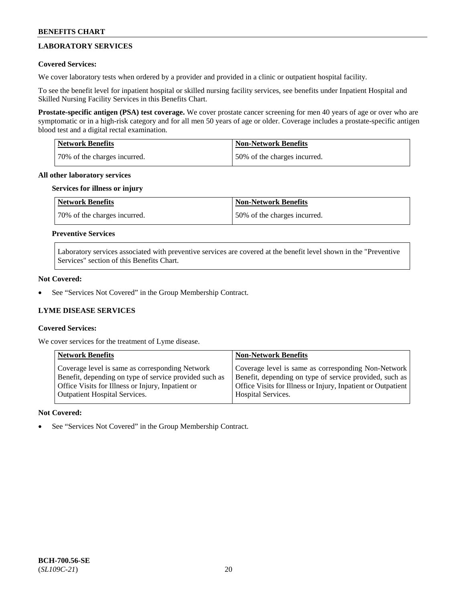## **LABORATORY SERVICES**

## **Covered Services:**

We cover laboratory tests when ordered by a provider and provided in a clinic or outpatient hospital facility.

To see the benefit level for inpatient hospital or skilled nursing facility services, see benefits under Inpatient Hospital and Skilled Nursing Facility Services in this Benefits Chart.

**Prostate-specific antigen (PSA) test coverage.** We cover prostate cancer screening for men 40 years of age or over who are symptomatic or in a high-risk category and for all men 50 years of age or older. Coverage includes a prostate-specific antigen blood test and a digital rectal examination.

| Network Benefits             | <b>Non-Network Benefits</b>  |
|------------------------------|------------------------------|
| 70% of the charges incurred. | 50% of the charges incurred. |

### **All other laboratory services**

### **Services for illness or injury**

| <b>Network Benefits</b>       | <b>Non-Network Benefits</b>  |
|-------------------------------|------------------------------|
| 170% of the charges incurred. | 50% of the charges incurred. |

## **Preventive Services**

Laboratory services associated with preventive services are covered at the benefit level shown in the "Preventive Services" section of this Benefits Chart.

## **Not Covered:**

See "Services Not Covered" in the Group Membership Contract.

## **LYME DISEASE SERVICES**

## **Covered Services:**

We cover services for the treatment of Lyme disease.

| <b>Network Benefits</b>                                | <b>Non-Network Benefits</b>                                  |
|--------------------------------------------------------|--------------------------------------------------------------|
| Coverage level is same as corresponding Network        | Coverage level is same as corresponding Non-Network          |
| Benefit, depending on type of service provided such as | Benefit, depending on type of service provided, such as      |
| Office Visits for Illness or Injury, Inpatient or      | Office Visits for Illness or Injury, Inpatient or Outpatient |
| <b>Outpatient Hospital Services.</b>                   | Hospital Services.                                           |

## **Not Covered:**

See "Services Not Covered" in the Group Membership Contract.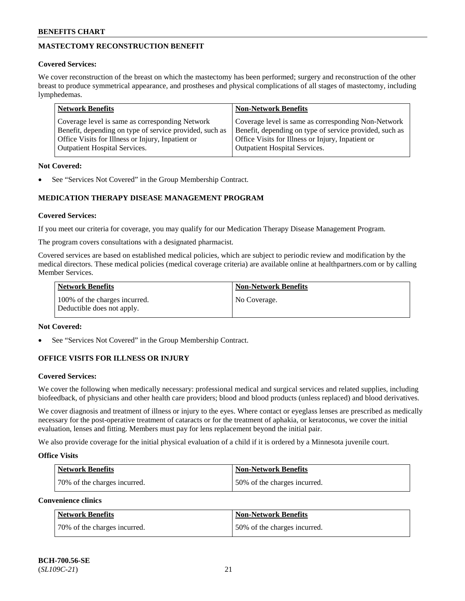## **MASTECTOMY RECONSTRUCTION BENEFIT**

## **Covered Services:**

We cover reconstruction of the breast on which the mastectomy has been performed; surgery and reconstruction of the other breast to produce symmetrical appearance, and prostheses and physical complications of all stages of mastectomy, including lymphedemas.

| <b>Network Benefits</b>                                 | <b>Non-Network Benefits</b>                             |
|---------------------------------------------------------|---------------------------------------------------------|
| Coverage level is same as corresponding Network         | Coverage level is same as corresponding Non-Network     |
| Benefit, depending on type of service provided, such as | Benefit, depending on type of service provided, such as |
| Office Visits for Illness or Injury, Inpatient or       | Office Visits for Illness or Injury, Inpatient or       |
| <b>Outpatient Hospital Services.</b>                    | <b>Outpatient Hospital Services.</b>                    |

## **Not Covered:**

See "Services Not Covered" in the Group Membership Contract.

## **MEDICATION THERAPY DISEASE MANAGEMENT PROGRAM**

## **Covered Services:**

If you meet our criteria for coverage, you may qualify for our Medication Therapy Disease Management Program.

The program covers consultations with a designated pharmacist.

Covered services are based on established medical policies, which are subject to periodic review and modification by the medical directors. These medical policies (medical coverage criteria) are available online at [healthpartners.com](https://www.healthpartners.com/hp/index.html) or by calling Member Services.

| Network Benefits                                            | <b>Non-Network Benefits</b> |
|-------------------------------------------------------------|-----------------------------|
| 100% of the charges incurred.<br>Deductible does not apply. | No Coverage.                |

## **Not Covered:**

See "Services Not Covered" in the Group Membership Contract.

## **OFFICE VISITS FOR ILLNESS OR INJURY**

## **Covered Services:**

We cover the following when medically necessary: professional medical and surgical services and related supplies, including biofeedback, of physicians and other health care providers; blood and blood products (unless replaced) and blood derivatives.

We cover diagnosis and treatment of illness or injury to the eyes. Where contact or eyeglass lenses are prescribed as medically necessary for the post-operative treatment of cataracts or for the treatment of aphakia, or keratoconus, we cover the initial evaluation, lenses and fitting. Members must pay for lens replacement beyond the initial pair.

We also provide coverage for the initial physical evaluation of a child if it is ordered by a Minnesota juvenile court.

## **Office Visits**

| <b>Network Benefits</b>      | <b>Non-Network Benefits</b>  |
|------------------------------|------------------------------|
| 70% of the charges incurred. | 50% of the charges incurred. |

**Convenience clinics**

| Network Benefits             | <b>Non-Network Benefits</b>  |
|------------------------------|------------------------------|
| 70% of the charges incurred. | 50% of the charges incurred. |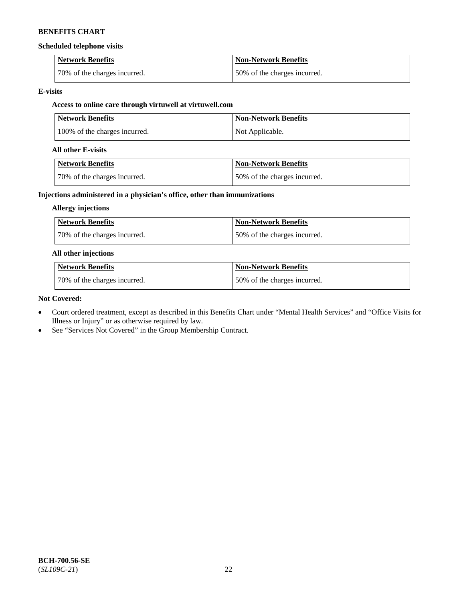### **Scheduled telephone visits**

| <b>Network Benefits</b>      | <b>Non-Network Benefits</b>  |
|------------------------------|------------------------------|
| 70% of the charges incurred. | 50% of the charges incurred. |

### **E-visits**

## **Access to online care through virtuwell at [virtuwell.com](https://www.virtuwell.com/)**

| <b>Network Benefits</b>       | <b>Non-Network Benefits</b> |
|-------------------------------|-----------------------------|
| 100% of the charges incurred. | Not Applicable.             |

### **All other E-visits**

| Network Benefits              | <b>Non-Network Benefits</b>  |
|-------------------------------|------------------------------|
| 170% of the charges incurred. | 50% of the charges incurred. |

## **Injections administered in a physician's office, other than immunizations**

### **Allergy injections**

| Network Benefits             | <b>Non-Network Benefits</b>  |
|------------------------------|------------------------------|
| 70% of the charges incurred. | 50% of the charges incurred. |

### **All other injections**

| Network Benefits             | <b>Non-Network Benefits</b>  |
|------------------------------|------------------------------|
| 70% of the charges incurred. | 50% of the charges incurred. |

### **Not Covered:**

- Court ordered treatment, except as described in this Benefits Chart under "Mental Health Services" and "Office Visits for Illness or Injury" or as otherwise required by law.
- See "Services Not Covered" in the Group Membership Contract.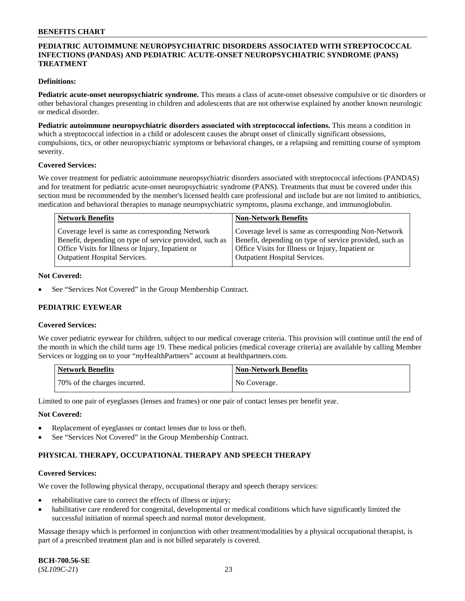## **PEDIATRIC AUTOIMMUNE NEUROPSYCHIATRIC DISORDERS ASSOCIATED WITH STREPTOCOCCAL INFECTIONS (PANDAS) AND PEDIATRIC ACUTE-ONSET NEUROPSYCHIATRIC SYNDROME (PANS) TREATMENT**

### **Definitions:**

**Pediatric acute-onset neuropsychiatric syndrome.** This means a class of acute-onset obsessive compulsive or tic disorders or other behavioral changes presenting in children and adolescents that are not otherwise explained by another known neurologic or medical disorder.

**Pediatric autoimmune neuropsychiatric disorders associated with streptococcal infections.** This means a condition in which a streptococcal infection in a child or adolescent causes the abrupt onset of clinically significant obsessions, compulsions, tics, or other neuropsychiatric symptoms or behavioral changes, or a relapsing and remitting course of symptom severity.

#### **Covered Services:**

We cover treatment for pediatric autoimmune neuropsychiatric disorders associated with streptococcal infections (PANDAS) and for treatment for pediatric acute-onset neuropsychiatric syndrome (PANS). Treatments that must be covered under this section must be recommended by the member's licensed health care professional and include but are not limited to antibiotics, medication and behavioral therapies to manage neuropsychiatric symptoms, plasma exchange, and immunoglobulin.

| <b>Network Benefits</b>                                 | <b>Non-Network Benefits</b>                             |
|---------------------------------------------------------|---------------------------------------------------------|
| Coverage level is same as corresponding Network         | Coverage level is same as corresponding Non-Network     |
| Benefit, depending on type of service provided, such as | Benefit, depending on type of service provided, such as |
| Office Visits for Illness or Injury, Inpatient or       | Office Visits for Illness or Injury, Inpatient or       |
| <b>Outpatient Hospital Services.</b>                    | <b>Outpatient Hospital Services.</b>                    |

### **Not Covered:**

See "Services Not Covered" in the Group Membership Contract.

## **PEDIATRIC EYEWEAR**

#### **Covered Services:**

We cover pediatric eyewear for children, subject to our medical coverage criteria. This provision will continue until the end of the month in which the child turns age 19. These medical policies (medical coverage criteria) are available by calling Member Services or logging on to your "*my*HealthPartners" account at [healthpartners.com.](https://www.healthpartners.com/hp/index.html)

| Network Benefits             | Non-Network Benefits |
|------------------------------|----------------------|
| 70% of the charges incurred. | No Coverage.         |

Limited to one pair of eyeglasses (lenses and frames) or one pair of contact lenses per benefit year.

#### **Not Covered:**

- Replacement of eyeglasses or contact lenses due to loss or theft.
- See "Services Not Covered" in the Group Membership Contract.

## **PHYSICAL THERAPY, OCCUPATIONAL THERAPY AND SPEECH THERAPY**

#### **Covered Services:**

We cover the following physical therapy, occupational therapy and speech therapy services:

- rehabilitative care to correct the effects of illness or injury;
- habilitative care rendered for congenital, developmental or medical conditions which have significantly limited the successful initiation of normal speech and normal motor development.

Massage therapy which is performed in conjunction with other treatment/modalities by a physical occupational therapist, is part of a prescribed treatment plan and is not billed separately is covered.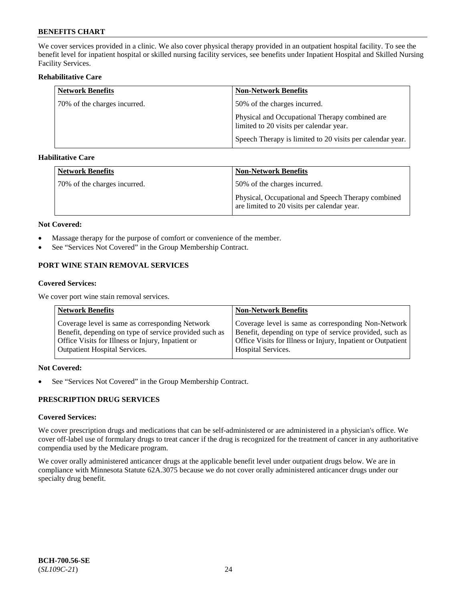We cover services provided in a clinic. We also cover physical therapy provided in an outpatient hospital facility. To see the benefit level for inpatient hospital or skilled nursing facility services, see benefits under Inpatient Hospital and Skilled Nursing Facility Services.

## **Rehabilitative Care**

| <b>Network Benefits</b>      | <b>Non-Network Benefits</b>                                                               |
|------------------------------|-------------------------------------------------------------------------------------------|
| 70% of the charges incurred. | 50% of the charges incurred.                                                              |
|                              | Physical and Occupational Therapy combined are<br>limited to 20 visits per calendar year. |
|                              | Speech Therapy is limited to 20 visits per calendar year.                                 |

## **Habilitative Care**

| <b>Network Benefits</b>      | <b>Non-Network Benefits</b>                                                                       |
|------------------------------|---------------------------------------------------------------------------------------------------|
| 70% of the charges incurred. | 50% of the charges incurred.                                                                      |
|                              | Physical, Occupational and Speech Therapy combined<br>are limited to 20 visits per calendar year. |

### **Not Covered:**

- Massage therapy for the purpose of comfort or convenience of the member.
- See "Services Not Covered" in the Group Membership Contract.

## **PORT WINE STAIN REMOVAL SERVICES**

### **Covered Services:**

We cover port wine stain removal services.

| <b>Network Benefits</b>                                | <b>Non-Network Benefits</b>                                  |
|--------------------------------------------------------|--------------------------------------------------------------|
| Coverage level is same as corresponding Network        | Coverage level is same as corresponding Non-Network          |
| Benefit, depending on type of service provided such as | Benefit, depending on type of service provided, such as      |
| Office Visits for Illness or Injury, Inpatient or      | Office Visits for Illness or Injury, Inpatient or Outpatient |
| <b>Outpatient Hospital Services.</b>                   | <b>Hospital Services.</b>                                    |

## **Not Covered:**

• See "Services Not Covered" in the Group Membership Contract.

## **PRESCRIPTION DRUG SERVICES**

## **Covered Services:**

We cover prescription drugs and medications that can be self-administered or are administered in a physician's office. We cover off-label use of formulary drugs to treat cancer if the drug is recognized for the treatment of cancer in any authoritative compendia used by the Medicare program.

We cover orally administered anticancer drugs at the applicable benefit level under outpatient drugs below. We are in compliance with Minnesota Statute 62A.3075 because we do not cover orally administered anticancer drugs under our specialty drug benefit.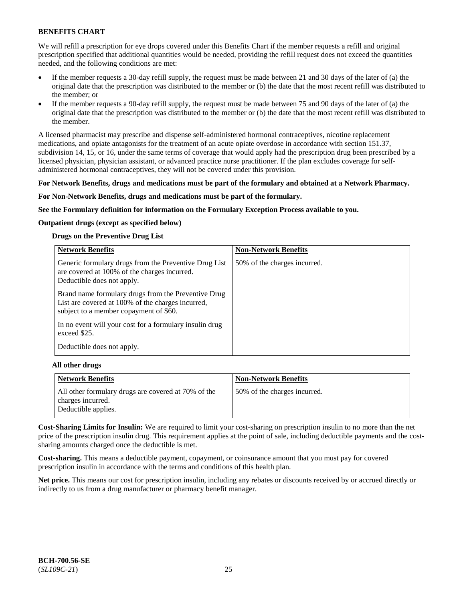We will refill a prescription for eye drops covered under this Benefits Chart if the member requests a refill and original prescription specified that additional quantities would be needed, providing the refill request does not exceed the quantities needed, and the following conditions are met:

- If the member requests a 30-day refill supply, the request must be made between 21 and 30 days of the later of (a) the original date that the prescription was distributed to the member or (b) the date that the most recent refill was distributed to the member; or
- If the member requests a 90-day refill supply, the request must be made between 75 and 90 days of the later of (a) the original date that the prescription was distributed to the member or (b) the date that the most recent refill was distributed to the member.

A licensed pharmacist may prescribe and dispense self-administered hormonal contraceptives, nicotine replacement medications, and opiate antagonists for the treatment of an acute opiate overdose in accordance with section 151.37, subdivision 14, 15, or 16, under the same terms of coverage that would apply had the prescription drug been prescribed by a licensed physician, physician assistant, or advanced practice nurse practitioner. If the plan excludes coverage for selfadministered hormonal contraceptives, they will not be covered under this provision.

### **For Network Benefits, drugs and medications must be part of the formulary and obtained at a Network Pharmacy.**

### **For Non-Network Benefits, drugs and medications must be part of the formulary.**

**See the Formulary definition for information on the Formulary Exception Process available to you.**

### **Outpatient drugs (except as specified below)**

### **Drugs on the Preventive Drug List**

| <b>Network Benefits</b>                                                                                                                            | <b>Non-Network Benefits</b>  |
|----------------------------------------------------------------------------------------------------------------------------------------------------|------------------------------|
| Generic formulary drugs from the Preventive Drug List<br>are covered at 100% of the charges incurred.<br>Deductible does not apply.                | 50% of the charges incurred. |
| Brand name formulary drugs from the Preventive Drug<br>List are covered at 100% of the charges incurred,<br>subject to a member copayment of \$60. |                              |
| In no event will your cost for a formulary insulin drug<br>exceed \$25.                                                                            |                              |
| Deductible does not apply.                                                                                                                         |                              |

#### **All other drugs**

| Network Benefits                                                                                | <b>Non-Network Benefits</b>  |
|-------------------------------------------------------------------------------------------------|------------------------------|
| All other formulary drugs are covered at 70% of the<br>charges incurred.<br>Deductible applies. | 50% of the charges incurred. |

**Cost-Sharing Limits for Insulin:** We are required to limit your cost-sharing on prescription insulin to no more than the net price of the prescription insulin drug. This requirement applies at the point of sale, including deductible payments and the costsharing amounts charged once the deductible is met.

**Cost-sharing.** This means a deductible payment, copayment, or coinsurance amount that you must pay for covered prescription insulin in accordance with the terms and conditions of this health plan.

**Net price.** This means our cost for prescription insulin, including any rebates or discounts received by or accrued directly or indirectly to us from a drug manufacturer or pharmacy benefit manager.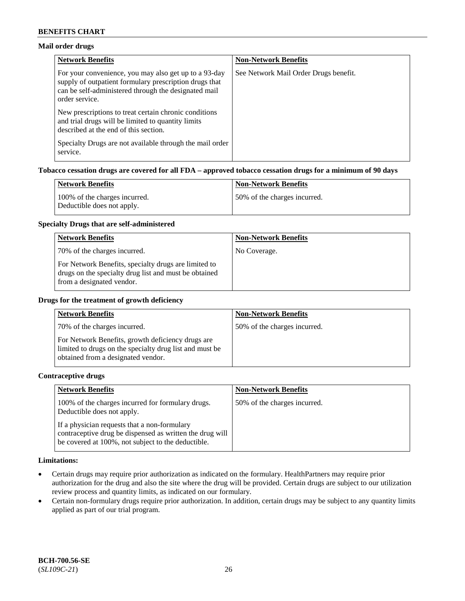## **Mail order drugs**

| <b>Network Benefits</b>                                                                                                                                                                   | <b>Non-Network Benefits</b>           |
|-------------------------------------------------------------------------------------------------------------------------------------------------------------------------------------------|---------------------------------------|
| For your convenience, you may also get up to a 93-day<br>supply of outpatient formulary prescription drugs that<br>can be self-administered through the designated mail<br>order service. | See Network Mail Order Drugs benefit. |
| New prescriptions to treat certain chronic conditions<br>and trial drugs will be limited to quantity limits<br>described at the end of this section.                                      |                                       |
| Specialty Drugs are not available through the mail order<br>service.                                                                                                                      |                                       |

## **Tobacco cessation drugs are covered for all FDA – approved tobacco cessation drugs for a minimum of 90 days**

| Network Benefits                                            | <b>Non-Network Benefits</b>  |
|-------------------------------------------------------------|------------------------------|
| 100% of the charges incurred.<br>Deductible does not apply. | 50% of the charges incurred. |

### **Specialty Drugs that are self-administered**

| <b>Network Benefits</b>                                                                                                                    | <b>Non-Network Benefits</b> |
|--------------------------------------------------------------------------------------------------------------------------------------------|-----------------------------|
| 70% of the charges incurred.                                                                                                               | No Coverage.                |
| For Network Benefits, specialty drugs are limited to<br>drugs on the specialty drug list and must be obtained<br>from a designated vendor. |                             |

### **Drugs for the treatment of growth deficiency**

| <b>Network Benefits</b>                                                                                                                            | <b>Non-Network Benefits</b>  |
|----------------------------------------------------------------------------------------------------------------------------------------------------|------------------------------|
| 70% of the charges incurred.                                                                                                                       | 50% of the charges incurred. |
| For Network Benefits, growth deficiency drugs are<br>limited to drugs on the specialty drug list and must be<br>obtained from a designated vendor. |                              |

#### **Contraceptive drugs**

| <b>Network Benefits</b>                                                                                                                                        | <b>Non-Network Benefits</b>  |
|----------------------------------------------------------------------------------------------------------------------------------------------------------------|------------------------------|
| 100% of the charges incurred for formulary drugs.<br>Deductible does not apply.                                                                                | 50% of the charges incurred. |
| If a physician requests that a non-formulary<br>contraceptive drug be dispensed as written the drug will<br>be covered at 100%, not subject to the deductible. |                              |

#### **Limitations:**

- Certain drugs may require prior authorization as indicated on the formulary. HealthPartners may require prior authorization for the drug and also the site where the drug will be provided. Certain drugs are subject to our utilization review process and quantity limits, as indicated on our formulary.
- Certain non-formulary drugs require prior authorization. In addition, certain drugs may be subject to any quantity limits applied as part of our trial program.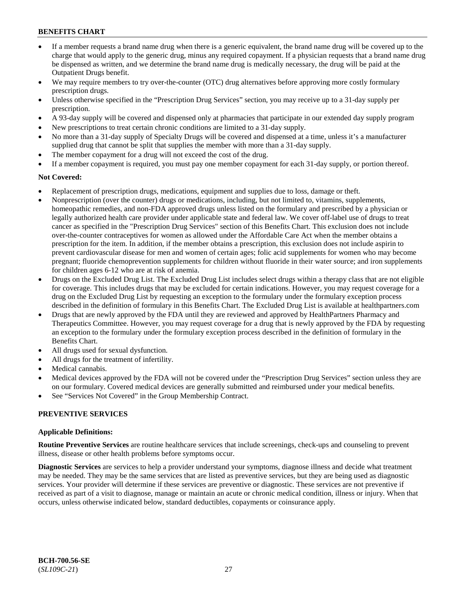- If a member requests a brand name drug when there is a generic equivalent, the brand name drug will be covered up to the charge that would apply to the generic drug, minus any required copayment. If a physician requests that a brand name drug be dispensed as written, and we determine the brand name drug is medically necessary, the drug will be paid at the Outpatient Drugs benefit.
- We may require members to try over-the-counter (OTC) drug alternatives before approving more costly formulary prescription drugs.
- Unless otherwise specified in the "Prescription Drug Services" section, you may receive up to a 31-day supply per prescription.
- A 93-day supply will be covered and dispensed only at pharmacies that participate in our extended day supply program
- New prescriptions to treat certain chronic conditions are limited to a 31-day supply.
- No more than a 31-day supply of Specialty Drugs will be covered and dispensed at a time, unless it's a manufacturer supplied drug that cannot be split that supplies the member with more than a 31-day supply.
- The member copayment for a drug will not exceed the cost of the drug.
- If a member copayment is required, you must pay one member copayment for each 31-day supply, or portion thereof.

### **Not Covered:**

- Replacement of prescription drugs, medications, equipment and supplies due to loss, damage or theft.
- Nonprescription (over the counter) drugs or medications, including, but not limited to, vitamins, supplements, homeopathic remedies, and non-FDA approved drugs unless listed on the formulary and prescribed by a physician or legally authorized health care provider under applicable state and federal law. We cover off-label use of drugs to treat cancer as specified in the "Prescription Drug Services" section of this Benefits Chart. This exclusion does not include over-the-counter contraceptives for women as allowed under the Affordable Care Act when the member obtains a prescription for the item. In addition, if the member obtains a prescription, this exclusion does not include aspirin to prevent cardiovascular disease for men and women of certain ages; folic acid supplements for women who may become pregnant; fluoride chemoprevention supplements for children without fluoride in their water source; and iron supplements for children ages 6-12 who are at risk of anemia.
- Drugs on the Excluded Drug List. The Excluded Drug List includes select drugs within a therapy class that are not eligible for coverage. This includes drugs that may be excluded for certain indications. However, you may request coverage for a drug on the Excluded Drug List by requesting an exception to the formulary under the formulary exception process described in the definition of formulary in this Benefits Chart. The Excluded Drug List is available at [healthpartners.com](http://www.healthpartners.com/)
- Drugs that are newly approved by the FDA until they are reviewed and approved by HealthPartners Pharmacy and Therapeutics Committee. However, you may request coverage for a drug that is newly approved by the FDA by requesting an exception to the formulary under the formulary exception process described in the definition of formulary in the Benefits Chart.
- All drugs used for sexual dysfunction.
- All drugs for the treatment of infertility.
- Medical cannabis.
- Medical devices approved by the FDA will not be covered under the "Prescription Drug Services" section unless they are on our formulary. Covered medical devices are generally submitted and reimbursed under your medical benefits.
- See "Services Not Covered" in the Group Membership Contract.

#### **PREVENTIVE SERVICES**

#### **Applicable Definitions:**

**Routine Preventive Services** are routine healthcare services that include screenings, check-ups and counseling to prevent illness, disease or other health problems before symptoms occur.

**Diagnostic Services** are services to help a provider understand your symptoms, diagnose illness and decide what treatment may be needed. They may be the same services that are listed as preventive services, but they are being used as diagnostic services. Your provider will determine if these services are preventive or diagnostic. These services are not preventive if received as part of a visit to diagnose, manage or maintain an acute or chronic medical condition, illness or injury. When that occurs, unless otherwise indicated below, standard deductibles, copayments or coinsurance apply.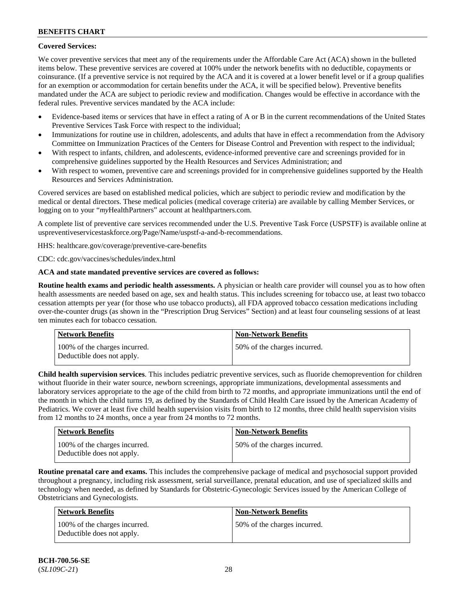## **Covered Services:**

We cover preventive services that meet any of the requirements under the Affordable Care Act (ACA) shown in the bulleted items below. These preventive services are covered at 100% under the network benefits with no deductible, copayments or coinsurance. (If a preventive service is not required by the ACA and it is covered at a lower benefit level or if a group qualifies for an exemption or accommodation for certain benefits under the ACA, it will be specified below). Preventive benefits mandated under the ACA are subject to periodic review and modification. Changes would be effective in accordance with the federal rules. Preventive services mandated by the ACA include:

- Evidence-based items or services that have in effect a rating of A or B in the current recommendations of the United States Preventive Services Task Force with respect to the individual;
- Immunizations for routine use in children, adolescents, and adults that have in effect a recommendation from the Advisory Committee on Immunization Practices of the Centers for Disease Control and Prevention with respect to the individual;
- With respect to infants, children, and adolescents, evidence-informed preventive care and screenings provided for in comprehensive guidelines supported by the Health Resources and Services Administration; and
- With respect to women, preventive care and screenings provided for in comprehensive guidelines supported by the Health Resources and Services Administration.

Covered services are based on established medical policies, which are subject to periodic review and modification by the medical or dental directors. These medical policies (medical coverage criteria) are available by calling Member Services, or logging on to your "*my*HealthPartners" account at [healthpartners.com.](http://www.healthpartners.com/)

A complete list of preventive care services recommended under the U.S. Preventive Task Force (USPSTF) is available online at [uspreventiveservicestaskforce.org/Page/Name/uspstf-a-and-b-recommendations.](https://www.uspreventiveservicestaskforce.org/Page/Name/uspstf-a-and-b-recommendations-by-date/)

HHS: [healthcare.gov/coverage/preventive-care-benefits](https://www.healthcare.gov/coverage/preventive-care-benefits/)

CDC: [cdc.gov/vaccines/schedules/index.html](https://www.cdc.gov/vaccines/schedules/index.html)

## **ACA and state mandated preventive services are covered as follows:**

**Routine health exams and periodic health assessments.** A physician or health care provider will counsel you as to how often health assessments are needed based on age, sex and health status. This includes screening for tobacco use, at least two tobacco cessation attempts per year (for those who use tobacco products), all FDA approved tobacco cessation medications including over-the-counter drugs (as shown in the "Prescription Drug Services" Section) and at least four counseling sessions of at least ten minutes each for tobacco cessation.

| Network Benefits                                            | <b>Non-Network Benefits</b>  |
|-------------------------------------------------------------|------------------------------|
| 100% of the charges incurred.<br>Deductible does not apply. | 50% of the charges incurred. |

**Child health supervision services**. This includes pediatric preventive services, such as fluoride chemoprevention for children without fluoride in their water source, newborn screenings, appropriate immunizations, developmental assessments and laboratory services appropriate to the age of the child from birth to 72 months, and appropriate immunizations until the end of the month in which the child turns 19, as defined by the Standards of Child Health Care issued by the American Academy of Pediatrics. We cover at least five child health supervision visits from birth to 12 months, three child health supervision visits from 12 months to 24 months, once a year from 24 months to 72 months.

| <b>Network Benefits</b>                                     | <b>Non-Network Benefits</b>  |
|-------------------------------------------------------------|------------------------------|
| 100% of the charges incurred.<br>Deductible does not apply. | 50% of the charges incurred. |

**Routine prenatal care and exams.** This includes the comprehensive package of medical and psychosocial support provided throughout a pregnancy, including risk assessment, serial surveillance, prenatal education, and use of specialized skills and technology when needed, as defined by Standards for Obstetric-Gynecologic Services issued by the American College of Obstetricians and Gynecologists.

| Network Benefits                                            | <b>Non-Network Benefits</b>  |
|-------------------------------------------------------------|------------------------------|
| 100% of the charges incurred.<br>Deductible does not apply. | 50% of the charges incurred. |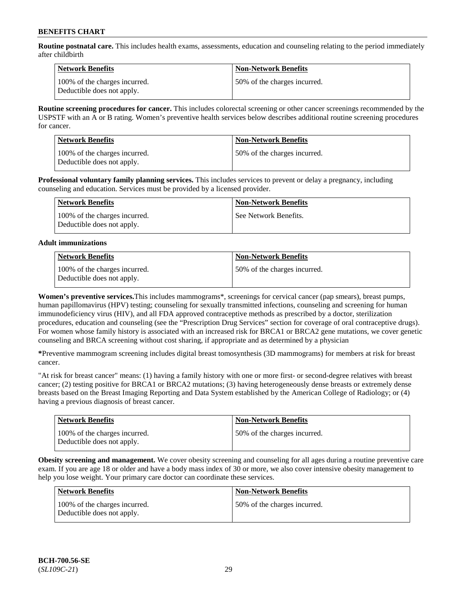**Routine postnatal care.** This includes health exams, assessments, education and counseling relating to the period immediately after childbirth

| Network Benefits                                            | <b>Non-Network Benefits</b>  |
|-------------------------------------------------------------|------------------------------|
| 100% of the charges incurred.<br>Deductible does not apply. | 50% of the charges incurred. |

**Routine screening procedures for cancer.** This includes colorectal screening or other cancer screenings recommended by the USPSTF with an A or B rating. Women's preventive health services below describes additional routine screening procedures for cancer.

| <b>Network Benefits</b>                                     | <b>Non-Network Benefits</b>  |
|-------------------------------------------------------------|------------------------------|
| 100% of the charges incurred.<br>Deductible does not apply. | 50% of the charges incurred. |

**Professional voluntary family planning services.** This includes services to prevent or delay a pregnancy, including counseling and education. Services must be provided by a licensed provider.

| Network Benefits                                            | <b>Non-Network Benefits</b> |
|-------------------------------------------------------------|-----------------------------|
| 100% of the charges incurred.<br>Deductible does not apply. | See Network Benefits.       |

## **Adult immunizations**

| <b>Network Benefits</b>                                     | <b>Non-Network Benefits</b>  |
|-------------------------------------------------------------|------------------------------|
| 100% of the charges incurred.<br>Deductible does not apply. | 50% of the charges incurred. |

**Women's preventive services.**This includes mammograms\*, screenings for cervical cancer (pap smears), breast pumps, human papillomavirus (HPV) testing; counseling for sexually transmitted infections, counseling and screening for human immunodeficiency virus (HIV), and all FDA approved contraceptive methods as prescribed by a doctor, sterilization procedures, education and counseling (see the "Prescription Drug Services" section for coverage of oral contraceptive drugs). For women whose family history is associated with an increased risk for BRCA1 or BRCA2 gene mutations, we cover genetic counseling and BRCA screening without cost sharing, if appropriate and as determined by a physician

**\***Preventive mammogram screening includes digital breast tomosynthesis (3D mammograms) for members at risk for breast cancer.

"At risk for breast cancer" means: (1) having a family history with one or more first- or second-degree relatives with breast cancer; (2) testing positive for BRCA1 or BRCA2 mutations; (3) having heterogeneously dense breasts or extremely dense breasts based on the Breast Imaging Reporting and Data System established by the American College of Radiology; or (4) having a previous diagnosis of breast cancer.

| <b>Network Benefits</b>                                     | <b>Non-Network Benefits</b>  |
|-------------------------------------------------------------|------------------------------|
| 100% of the charges incurred.<br>Deductible does not apply. | 50% of the charges incurred. |

**Obesity screening and management.** We cover obesity screening and counseling for all ages during a routine preventive care exam. If you are age 18 or older and have a body mass index of 30 or more, we also cover intensive obesity management to help you lose weight. Your primary care doctor can coordinate these services.

| <b>Network Benefits</b>                                     | <b>Non-Network Benefits</b>  |
|-------------------------------------------------------------|------------------------------|
| 100% of the charges incurred.<br>Deductible does not apply. | 50% of the charges incurred. |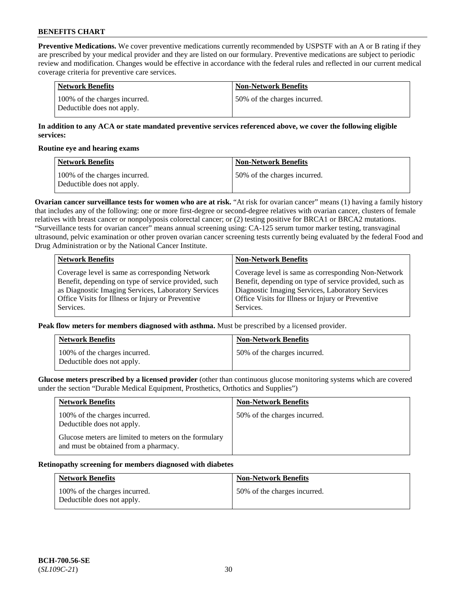**Preventive Medications.** We cover preventive medications currently recommended by USPSTF with an A or B rating if they are prescribed by your medical provider and they are listed on our formulary. Preventive medications are subject to periodic review and modification. Changes would be effective in accordance with the federal rules and reflected in our current medical coverage criteria for preventive care services.

| Network Benefits                                            | Non-Network Benefits         |
|-------------------------------------------------------------|------------------------------|
| 100% of the charges incurred.<br>Deductible does not apply. | 50% of the charges incurred. |

## **In addition to any ACA or state mandated preventive services referenced above, we cover the following eligible services:**

#### **Routine eye and hearing exams**

| <b>Network Benefits</b>                                     | <b>Non-Network Benefits</b>  |
|-------------------------------------------------------------|------------------------------|
| 100% of the charges incurred.<br>Deductible does not apply. | 50% of the charges incurred. |

**Ovarian cancer surveillance tests for women who are at risk.** "At risk for ovarian cancer" means (1) having a family history that includes any of the following: one or more first-degree or second-degree relatives with ovarian cancer, clusters of female relatives with breast cancer or nonpolyposis colorectal cancer; or (2) testing positive for BRCA1 or BRCA2 mutations. "Surveillance tests for ovarian cancer" means annual screening using: CA-125 serum tumor marker testing, transvaginal ultrasound, pelvic examination or other proven ovarian cancer screening tests currently being evaluated by the federal Food and Drug Administration or by the National Cancer Institute.

| <b>Network Benefits</b>                              | <b>Non-Network Benefits</b>                             |
|------------------------------------------------------|---------------------------------------------------------|
| Coverage level is same as corresponding Network      | Coverage level is same as corresponding Non-Network     |
| Benefit, depending on type of service provided, such | Benefit, depending on type of service provided, such as |
| as Diagnostic Imaging Services, Laboratory Services  | Diagnostic Imaging Services, Laboratory Services        |
| Office Visits for Illness or Injury or Preventive    | Office Visits for Illness or Injury or Preventive       |
| Services.                                            | Services.                                               |

**Peak flow meters for members diagnosed with asthma.** Must be prescribed by a licensed provider.

| <b>Network Benefits</b>                                     | <b>Non-Network Benefits</b>  |
|-------------------------------------------------------------|------------------------------|
| 100% of the charges incurred.<br>Deductible does not apply. | 50% of the charges incurred. |

**Glucose meters prescribed by a licensed provider** (other than continuous glucose monitoring systems which are covered under the section "Durable Medical Equipment, Prosthetics, Orthotics and Supplies")

| <b>Network Benefits</b>                                                                        | <b>Non-Network Benefits</b>  |
|------------------------------------------------------------------------------------------------|------------------------------|
| 100% of the charges incurred.<br>Deductible does not apply.                                    | 50% of the charges incurred. |
| Glucose meters are limited to meters on the formulary<br>and must be obtained from a pharmacy. |                              |

#### **Retinopathy screening for members diagnosed with diabetes**

| <b>Network Benefits</b>                                     | <b>Non-Network Benefits</b>  |
|-------------------------------------------------------------|------------------------------|
| 100% of the charges incurred.<br>Deductible does not apply. | 50% of the charges incurred. |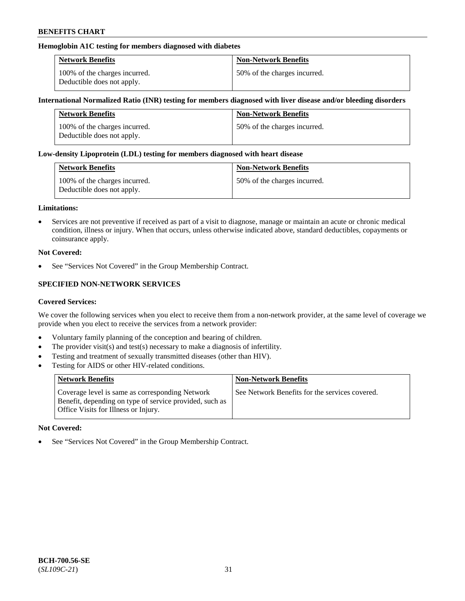## **Hemoglobin A1C testing for members diagnosed with diabetes**

| <b>Network Benefits</b>                                     | <b>Non-Network Benefits</b>  |
|-------------------------------------------------------------|------------------------------|
| 100% of the charges incurred.<br>Deductible does not apply. | 50% of the charges incurred. |

### **International Normalized Ratio (INR) testing for members diagnosed with liver disease and/or bleeding disorders**

| <b>Network Benefits</b>                                     | <b>Non-Network Benefits</b>  |
|-------------------------------------------------------------|------------------------------|
| 100% of the charges incurred.<br>Deductible does not apply. | 50% of the charges incurred. |

### **Low-density Lipoprotein (LDL) testing for members diagnosed with heart disease**

| <b>Network Benefits</b>                                     | <b>Non-Network Benefits</b>  |
|-------------------------------------------------------------|------------------------------|
| 100% of the charges incurred.<br>Deductible does not apply. | 50% of the charges incurred. |

#### **Limitations:**

• Services are not preventive if received as part of a visit to diagnose, manage or maintain an acute or chronic medical condition, illness or injury. When that occurs, unless otherwise indicated above, standard deductibles, copayments or coinsurance apply.

### **Not Covered:**

See "Services Not Covered" in the Group Membership Contract.

## **SPECIFIED NON-NETWORK SERVICES**

#### **Covered Services:**

We cover the following services when you elect to receive them from a non-network provider, at the same level of coverage we provide when you elect to receive the services from a network provider:

- Voluntary family planning of the conception and bearing of children.
- The provider visit(s) and test(s) necessary to make a diagnosis of infertility.
- Testing and treatment of sexually transmitted diseases (other than HIV).
- Testing for AIDS or other HIV-related conditions.

| <b>Network Benefits</b>                                                                                                                            | <b>Non-Network Benefits</b>                    |
|----------------------------------------------------------------------------------------------------------------------------------------------------|------------------------------------------------|
| Coverage level is same as corresponding Network<br>Benefit, depending on type of service provided, such as<br>Office Visits for Illness or Injury. | See Network Benefits for the services covered. |

#### **Not Covered:**

• See "Services Not Covered" in the Group Membership Contract.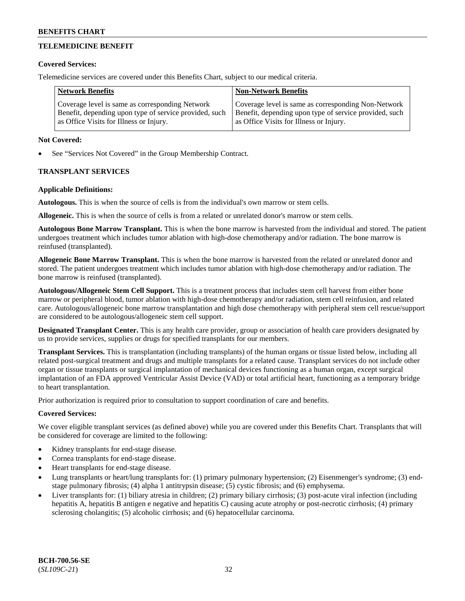## **TELEMEDICINE BENEFIT**

### **Covered Services:**

Telemedicine services are covered under this Benefits Chart, subject to our medical criteria.

| <b>Network Benefits</b>                                | <b>Non-Network Benefits</b>                            |
|--------------------------------------------------------|--------------------------------------------------------|
| Coverage level is same as corresponding Network        | Coverage level is same as corresponding Non-Network    |
| Benefit, depending upon type of service provided, such | Benefit, depending upon type of service provided, such |
| as Office Visits for Illness or Injury.                | as Office Visits for Illness or Injury.                |

### **Not Covered:**

See "Services Not Covered" in the Group Membership Contract.

## **TRANSPLANT SERVICES**

### **Applicable Definitions:**

**Autologous.** This is when the source of cells is from the individual's own marrow or stem cells.

**Allogeneic.** This is when the source of cells is from a related or unrelated donor's marrow or stem cells.

**Autologous Bone Marrow Transplant.** This is when the bone marrow is harvested from the individual and stored. The patient undergoes treatment which includes tumor ablation with high-dose chemotherapy and/or radiation. The bone marrow is reinfused (transplanted).

**Allogeneic Bone Marrow Transplant.** This is when the bone marrow is harvested from the related or unrelated donor and stored. The patient undergoes treatment which includes tumor ablation with high-dose chemotherapy and/or radiation. The bone marrow is reinfused (transplanted).

**Autologous/Allogeneic Stem Cell Support.** This is a treatment process that includes stem cell harvest from either bone marrow or peripheral blood, tumor ablation with high-dose chemotherapy and/or radiation, stem cell reinfusion, and related care. Autologous/allogeneic bone marrow transplantation and high dose chemotherapy with peripheral stem cell rescue/support are considered to be autologous/allogeneic stem cell support.

**Designated Transplant Center.** This is any health care provider, group or association of health care providers designated by us to provide services, supplies or drugs for specified transplants for our members.

**Transplant Services.** This is transplantation (including transplants) of the human organs or tissue listed below, including all related post-surgical treatment and drugs and multiple transplants for a related cause. Transplant services do not include other organ or tissue transplants or surgical implantation of mechanical devices functioning as a human organ, except surgical implantation of an FDA approved Ventricular Assist Device (VAD) or total artificial heart, functioning as a temporary bridge to heart transplantation.

Prior authorization is required prior to consultation to support coordination of care and benefits.

## **Covered Services:**

We cover eligible transplant services (as defined above) while you are covered under this Benefits Chart. Transplants that will be considered for coverage are limited to the following:

- Kidney transplants for end-stage disease.
- Cornea transplants for end-stage disease.
- Heart transplants for end-stage disease.
- Lung transplants or heart/lung transplants for: (1) primary pulmonary hypertension; (2) Eisenmenger's syndrome; (3) endstage pulmonary fibrosis; (4) alpha 1 antitrypsin disease; (5) cystic fibrosis; and (6) emphysema.
- Liver transplants for: (1) biliary atresia in children; (2) primary biliary cirrhosis; (3) post-acute viral infection (including hepatitis A, hepatitis B antigen e negative and hepatitis C) causing acute atrophy or post-necrotic cirrhosis; (4) primary sclerosing cholangitis; (5) alcoholic cirrhosis; and (6) hepatocellular carcinoma.